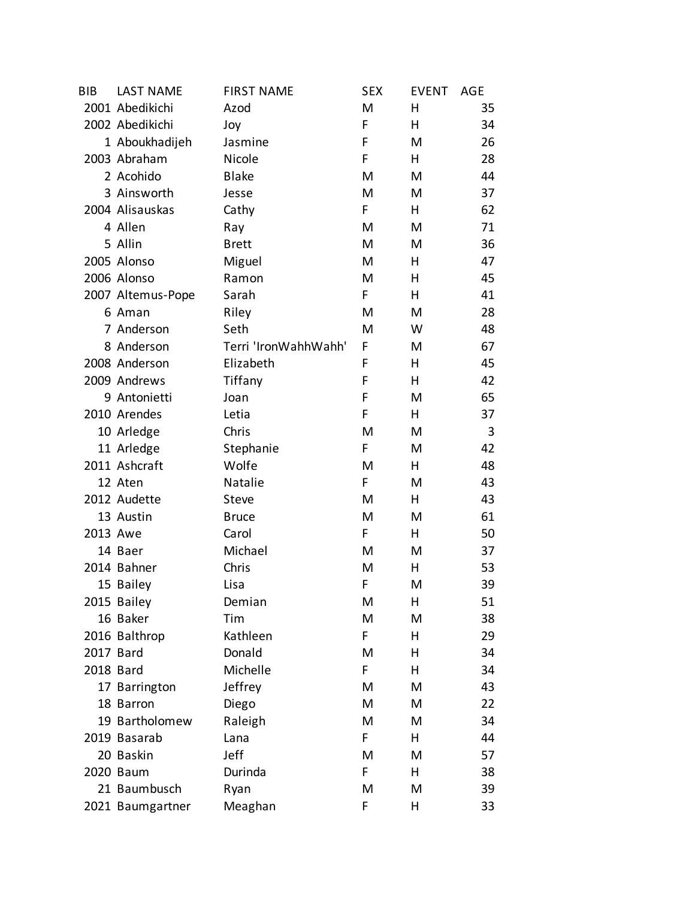| <b>BIB</b> | <b>LAST NAME</b>  | <b>FIRST NAME</b>    | <b>SEX</b> | <b>EVENT</b> | AGE |
|------------|-------------------|----------------------|------------|--------------|-----|
|            | 2001 Abedikichi   | Azod                 | M          | н            | 35  |
|            | 2002 Abedikichi   | Joy                  | F          | н            | 34  |
|            | 1 Aboukhadijeh    | Jasmine              | F          | M            | 26  |
|            | 2003 Abraham      | Nicole               | F          | H.           | 28  |
|            | 2 Acohido         | <b>Blake</b>         | M          | M            | 44  |
|            | 3 Ainsworth       | Jesse                | M          | M            | 37  |
|            | 2004 Alisauskas   | Cathy                | F          | н            | 62  |
|            | 4 Allen           | Ray                  | M          | M            | 71  |
|            | 5 Allin           | <b>Brett</b>         | M          | M            | 36  |
|            | 2005 Alonso       | Miguel               | M          | н            | 47  |
|            | 2006 Alonso       | Ramon                | M          | Η            | 45  |
|            | 2007 Altemus-Pope | Sarah                | F          | н            | 41  |
|            | 6 Aman            | Riley                | M          | M            | 28  |
|            | 7 Anderson        | Seth                 | M          | W            | 48  |
|            | 8 Anderson        | Terri 'IronWahhWahh' | F          | M            | 67  |
|            | 2008 Anderson     | Elizabeth            | F          | н            | 45  |
|            | 2009 Andrews      | Tiffany              | F          | н            | 42  |
|            | 9 Antonietti      | Joan                 | F          | M            | 65  |
|            | 2010 Arendes      | Letia                | F          | н            | 37  |
|            | 10 Arledge        | Chris                | M          | M            | 3   |
|            | 11 Arledge        | Stephanie            | F          | M            | 42  |
|            | 2011 Ashcraft     | Wolfe                | M          | н            | 48  |
|            | 12 Aten           | Natalie              | F          | M            | 43  |
|            | 2012 Audette      | Steve                | M          | H.           | 43  |
|            | 13 Austin         | <b>Bruce</b>         | M          | M            | 61  |
| 2013 Awe   |                   | Carol                | F          | н            | 50  |
|            | 14 Baer           | Michael              | M          | M            | 37  |
|            | 2014 Bahner       | Chris                | M          | н            | 53  |
|            | 15 Bailey         | Lisa                 | F          | M            | 39  |
|            | 2015 Bailey       | Demian               | Μ          | н            | 51  |
|            | 16 Baker          | Tim                  | Μ          | M            | 38  |
|            | 2016 Balthrop     | Kathleen             | F.         | н            | 29  |
| 2017 Bard  |                   | Donald               | M          | Η            | 34  |
| 2018 Bard  |                   | Michelle             | F          | н            | 34  |
|            | 17 Barrington     | Jeffrey              | M          | M            | 43  |
|            | 18 Barron         | Diego                | M          | M            | 22  |
|            | 19 Bartholomew    | Raleigh              | M          | M            | 34  |
|            | 2019 Basarab      | Lana                 | F          | н            | 44  |
|            | 20 Baskin         | Jeff                 | M          | M            | 57  |
|            | 2020 Baum         | Durinda              | F          | н            | 38  |
|            | 21 Baumbusch      | Ryan                 | M          | M            | 39  |
|            | 2021 Baumgartner  | Meaghan              | F          | н            | 33  |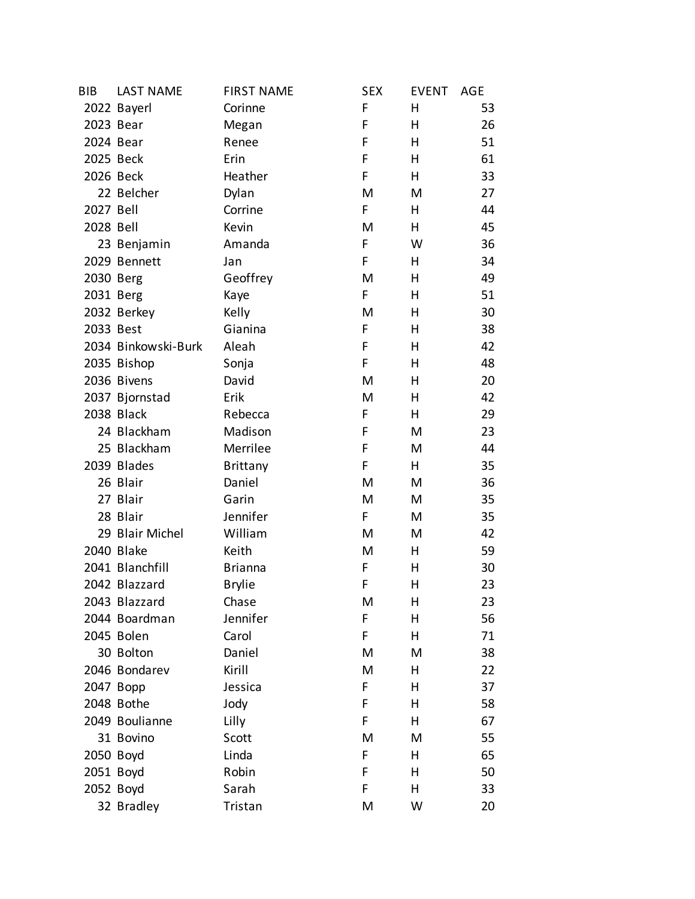| <b>BIB</b> | <b>LAST NAME</b>    | <b>FIRST NAME</b> | <b>SEX</b> | <b>EVENT</b> | AGE |
|------------|---------------------|-------------------|------------|--------------|-----|
|            | 2022 Bayerl         | Corinne           | F          | н            | 53  |
| 2023 Bear  |                     | Megan             | F          | н            | 26  |
| 2024 Bear  |                     | Renee             | F          | н            | 51  |
|            | 2025 Beck           | Erin              | F          | н            | 61  |
|            | 2026 Beck           | Heather           | F          | н            | 33  |
|            | 22 Belcher          | Dylan             | M          | M            | 27  |
| 2027 Bell  |                     | Corrine           | F          | н            | 44  |
| 2028 Bell  |                     | Kevin             | M          | н            | 45  |
|            | 23 Benjamin         | Amanda            | F          | W            | 36  |
|            | 2029 Bennett        | Jan               | F          | н            | 34  |
| 2030 Berg  |                     | Geoffrey          | M          | Η            | 49  |
| 2031 Berg  |                     | Kaye              | F          | н            | 51  |
|            | 2032 Berkey         | Kelly             | M          | Η            | 30  |
| 2033 Best  |                     | Gianina           | F          | н            | 38  |
|            | 2034 Binkowski-Burk | Aleah             | F          | Η            | 42  |
|            | 2035 Bishop         | Sonja             | F          | н            | 48  |
|            | 2036 Bivens         | David             | M          | Η            | 20  |
|            | 2037 Bjornstad      | Erik              | M          | н            | 42  |
|            | 2038 Black          | Rebecca           | F          | н            | 29  |
|            | 24 Blackham         | Madison           | F          | M            | 23  |
|            | 25 Blackham         | Merrilee          | F          | M            | 44  |
|            | 2039 Blades         | <b>Brittany</b>   | F          | н            | 35  |
|            | 26 Blair            | Daniel            | M          | M            | 36  |
|            | 27 Blair            | Garin             | M          | М            | 35  |
|            | 28 Blair            | Jennifer          | F          | M            | 35  |
|            | 29 Blair Michel     | William           | M          | M            | 42  |
|            | 2040 Blake          | Keith             | M          | н            | 59  |
|            | 2041 Blanchfill     | <b>Brianna</b>    | F          | н            | 30  |
|            | 2042 Blazzard       | <b>Brylie</b>     | F          | н            | 23  |
|            | 2043 Blazzard       | Chase             | M          | Η            | 23  |
|            | 2044 Boardman       | Jennifer          | F          | Η            | 56  |
|            | 2045 Bolen          | Carol             | F          | н            | 71  |
|            | 30 Bolton           | Daniel            | M          | M            | 38  |
|            | 2046 Bondarev       | Kirill            | M          | н            | 22  |
|            | 2047 Bopp           | Jessica           | F          | н            | 37  |
|            | 2048 Bothe          | Jody              | F          | н            | 58  |
|            | 2049 Boulianne      | Lilly             | F          | Η            | 67  |
|            | 31 Bovino           | Scott             | M          | M            | 55  |
| 2050 Boyd  |                     | Linda             | F          | н            | 65  |
| 2051 Boyd  |                     | Robin             | F          | н            | 50  |
| 2052 Boyd  |                     | Sarah             | F          | н            | 33  |
|            | 32 Bradley          | Tristan           | M          | W            | 20  |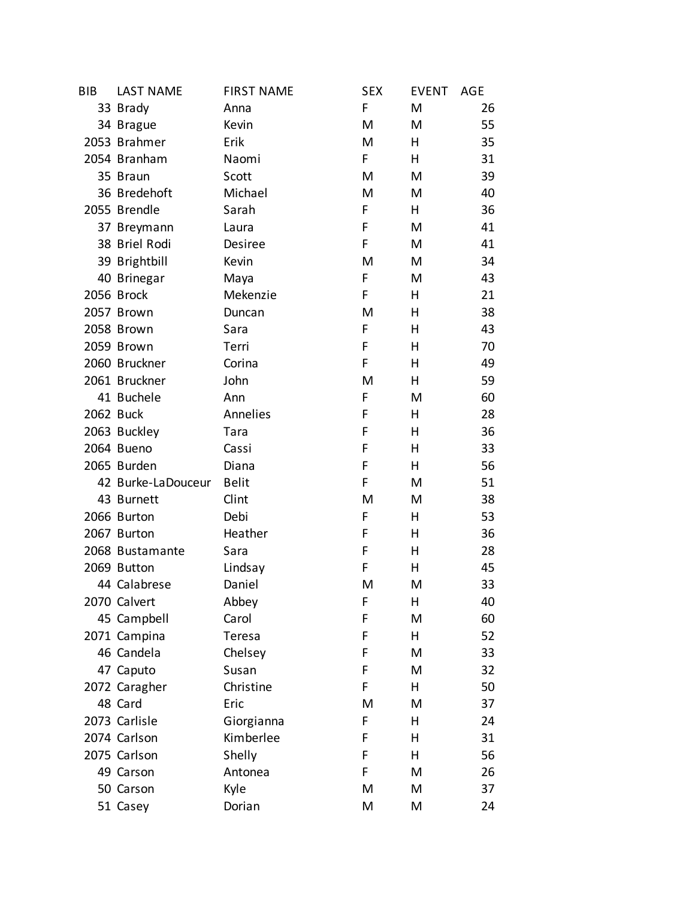| <b>BIB</b> | <b>LAST NAME</b>   | <b>FIRST NAME</b> | <b>SEX</b> | <b>EVENT</b> | AGE |
|------------|--------------------|-------------------|------------|--------------|-----|
|            | 33 Brady           | Anna              | F          | M            | 26  |
|            | 34 Brague          | Kevin             | M          | M            | 55  |
|            | 2053 Brahmer       | Erik              | M          | н            | 35  |
|            | 2054 Branham       | Naomi             | F          | н            | 31  |
|            | 35 Braun           | Scott             | M          | M            | 39  |
|            | 36 Bredehoft       | Michael           | M          | M            | 40  |
|            | 2055 Brendle       | Sarah             | F          | н            | 36  |
|            | 37 Breymann        | Laura             | F          | M            | 41  |
|            | 38 Briel Rodi      | Desiree           | F          | M            | 41  |
|            | 39 Brightbill      | Kevin             | M          | M            | 34  |
|            | 40 Brinegar        | Maya              | F          | M            | 43  |
|            | 2056 Brock         | Mekenzie          | F          | н            | 21  |
|            | 2057 Brown         | Duncan            | M          | Η            | 38  |
|            | 2058 Brown         | Sara              | F          | Η            | 43  |
|            | 2059 Brown         | Terri             | F          | Η            | 70  |
|            | 2060 Bruckner      | Corina            | F          | н            | 49  |
|            | 2061 Bruckner      | John              | M          | н            | 59  |
|            | 41 Buchele         | Ann               | F          | M            | 60  |
| 2062 Buck  |                    | Annelies          | F          | Η            | 28  |
|            | 2063 Buckley       | Tara              | F          | н            | 36  |
|            | 2064 Bueno         | Cassi             | F          | Η            | 33  |
|            | 2065 Burden        | Diana             | F          | н            | 56  |
|            | 42 Burke-LaDouceur | <b>Belit</b>      | F          | M            | 51  |
|            | 43 Burnett         | Clint             | M          | M            | 38  |
|            | 2066 Burton        | Debi              | F          | н            | 53  |
|            | 2067 Burton        | Heather           | F          | Η            | 36  |
|            | 2068 Bustamante    | Sara              | F          | Η            | 28  |
|            | 2069 Button        | Lindsay           | F          | н            | 45  |
|            | 44 Calabrese       | Daniel            | M          | M            | 33  |
|            | 2070 Calvert       | Abbey             | F          | н            | 40  |
|            | 45 Campbell        | Carol             | F          | M            | 60  |
|            | 2071 Campina       | Teresa            | F          | н            | 52  |
|            | 46 Candela         | Chelsey           | F          | M            | 33  |
|            | 47 Caputo          | Susan             | F          | M            | 32  |
|            | 2072 Caragher      | Christine         | F          | н            | 50  |
|            | 48 Card            | Eric              | M          | M            | 37  |
|            | 2073 Carlisle      | Giorgianna        | F          | Η            | 24  |
|            | 2074 Carlson       | Kimberlee         | F          | н            | 31  |
|            | 2075 Carlson       | Shelly            | F          | Η            | 56  |
|            | 49 Carson          | Antonea           | F          | M            | 26  |
|            | 50 Carson          | Kyle              | M          | M            | 37  |
|            | 51 Casey           | Dorian            | M          | M            | 24  |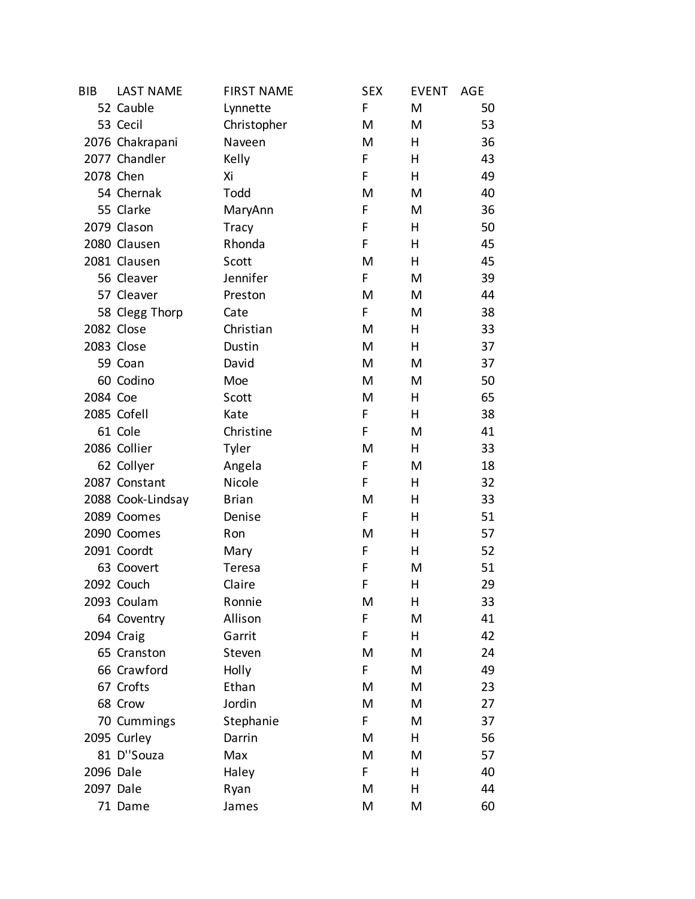| <b>BIB</b> | <b>LAST NAME</b>  | <b>FIRST NAME</b> | <b>SEX</b> | <b>EVENT</b> | AGE |
|------------|-------------------|-------------------|------------|--------------|-----|
|            | 52 Cauble         | Lynnette          | F          | M            | 50  |
|            | 53 Cecil          | Christopher       | M          | M            | 53  |
|            | 2076 Chakrapani   | Naveen            | M          | Η            | 36  |
|            | 2077 Chandler     | Kelly             | F          | н            | 43  |
|            | 2078 Chen         | Xi                | F          | н            | 49  |
|            | 54 Chernak        | Todd              | M          | M            | 40  |
|            | 55 Clarke         | MaryAnn           | F          | M            | 36  |
|            | 2079 Clason       | <b>Tracy</b>      | F          | н            | 50  |
|            | 2080 Clausen      | Rhonda            | F          | Η            | 45  |
|            | 2081 Clausen      | Scott             | M          | н            | 45  |
|            | 56 Cleaver        | Jennifer          | F          | M            | 39  |
|            | 57 Cleaver        | Preston           | M          | M            | 44  |
|            | 58 Clegg Thorp    | Cate              | F          | M            | 38  |
|            | 2082 Close        | Christian         | M          | н            | 33  |
|            | 2083 Close        | Dustin            | M          | н            | 37  |
|            | 59 Coan           | David             | M          | M            | 37  |
|            | 60 Codino         | Moe               | M          | M            | 50  |
| 2084 Coe   |                   | Scott             | M          | н            | 65  |
|            | 2085 Cofell       | Kate              | F          | Η            | 38  |
|            | 61 Cole           | Christine         | F          | M            | 41  |
|            | 2086 Collier      | Tyler             | M          | н            | 33  |
|            | 62 Collyer        | Angela            | F          | M            | 18  |
|            | 2087 Constant     | Nicole            | F          | Η            | 32  |
|            | 2088 Cook-Lindsay | <b>Brian</b>      | M          | н            | 33  |
|            | 2089 Coomes       | Denise            | F          | Η            | 51  |
|            | 2090 Coomes       | Ron               | M          | Η            | 57  |
|            | 2091 Coordt       | Mary              | F          | Η            | 52  |
|            | 63 Coovert        | Teresa            | F          | M            | 51  |
|            | 2092 Couch        | Claire            | F          | Η            | 29  |
|            | 2093 Coulam       | Ronnie            | M          | Η            | 33  |
|            | 64 Coventry       | Allison           | F          | M            | 41  |
|            | 2094 Craig        | Garrit            | F          | н            | 42  |
|            | 65 Cranston       | Steven            | M          | M            | 24  |
|            | 66 Crawford       | Holly             | F          | M            | 49  |
|            | 67 Crofts         | Ethan             | M          | M            | 23  |
|            | 68 Crow           | Jordin            | M          | M            | 27  |
|            | 70 Cummings       | Stephanie         | F          | M            | 37  |
|            | 2095 Curley       | Darrin            | M          | н            | 56  |
|            | 81 D"Souza        | Max               | M          | M            | 57  |
| 2096 Dale  |                   | Haley             | F          | Η            | 40  |
| 2097 Dale  |                   | Ryan              | M          | Η            | 44  |
|            | 71 Dame           | James             | M          | M            | 60  |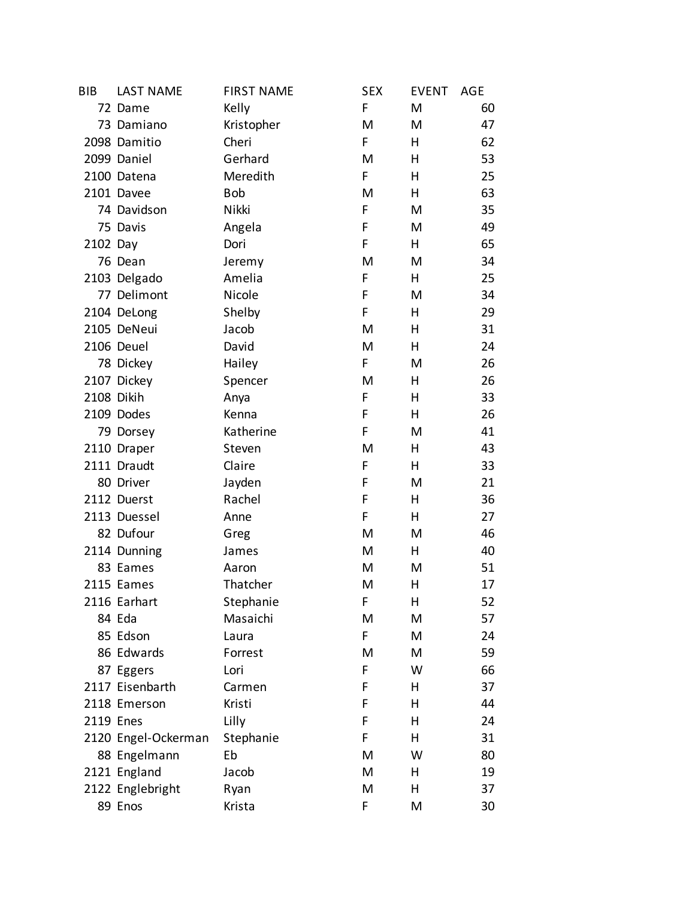| <b>BIB</b> | <b>LAST NAME</b>    | <b>FIRST NAME</b> | <b>SEX</b> | <b>EVENT</b> | AGE |
|------------|---------------------|-------------------|------------|--------------|-----|
|            | 72 Dame             | Kelly             | F          | M            | 60  |
|            | 73 Damiano          | Kristopher        | M          | M            | 47  |
|            | 2098 Damitio        | Cheri             | F          | Н            | 62  |
|            | 2099 Daniel         | Gerhard           | M          | н            | 53  |
|            | 2100 Datena         | Meredith          | F          | н            | 25  |
|            | 2101 Davee          | <b>Bob</b>        | M          | Н            | 63  |
|            | 74 Davidson         | Nikki             | F          | M            | 35  |
|            | 75 Davis            | Angela            | F          | M            | 49  |
| 2102 Day   |                     | Dori              | F          | Н            | 65  |
|            | 76 Dean             | Jeremy            | M          | M            | 34  |
|            | 2103 Delgado        | Amelia            | F          | Н            | 25  |
|            | 77 Delimont         | Nicole            | F          | M            | 34  |
|            | 2104 DeLong         | Shelby            | F          | н            | 29  |
|            | 2105 DeNeui         | Jacob             | M          | Н            | 31  |
|            | 2106 Deuel          | David             | M          | Н            | 24  |
|            | 78 Dickey           | Hailey            | F.         | M            | 26  |
|            | 2107 Dickey         | Spencer           | M          | Н            | 26  |
| 2108 Dikih |                     | Anya              | F          | Н            | 33  |
|            | 2109 Dodes          | Kenna             | F          | Н            | 26  |
|            | 79 Dorsey           | Katherine         | F          | M            | 41  |
|            | 2110 Draper         | Steven            | M          | Н            | 43  |
|            | 2111 Draudt         | Claire            | F          | Н            | 33  |
|            | 80 Driver           | Jayden            | F          | M            | 21  |
|            | 2112 Duerst         | Rachel            | F          | Н            | 36  |
|            | 2113 Duessel        | Anne              | F          | Н            | 27  |
|            | 82 Dufour           | Greg              | M          | M            | 46  |
|            | 2114 Dunning        | James             | M          | Н            | 40  |
|            | 83 Eames            | Aaron             | M          | M            | 51  |
|            | 2115 Eames          | Thatcher          | M          | Н            | 17  |
|            | 2116 Earhart        | Stephanie         | F          | н            | 52  |
|            | 84 Eda              | Masaichi          | M          | M            | 57  |
|            | 85 Edson            | Laura             | F          | M            | 24  |
|            | 86 Edwards          | Forrest           | M          | M            | 59  |
|            | 87 Eggers           | Lori              | F          | W            | 66  |
|            | 2117 Eisenbarth     | Carmen            | F          | н            | 37  |
|            | 2118 Emerson        | Kristi            | F          | н            | 44  |
| 2119 Enes  |                     | Lilly             | F          | н            | 24  |
|            | 2120 Engel-Ockerman | Stephanie         | F          | н            | 31  |
|            | 88 Engelmann        | Eb                | M          | W            | 80  |
|            | 2121 England        | Jacob             | M          | н            | 19  |
|            | 2122 Englebright    | Ryan              | M          | н            | 37  |
|            | 89 Enos             | Krista            | F          | M            | 30  |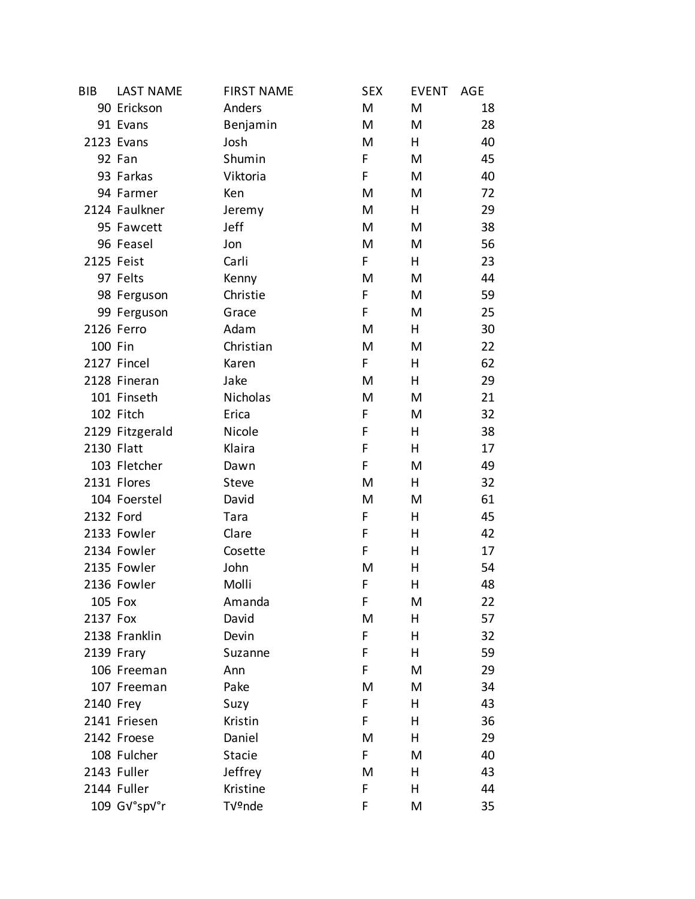| <b>BIB</b> | <b>LAST NAME</b> | <b>FIRST NAME</b> | <b>SEX</b> | <b>EVENT</b> | AGE |
|------------|------------------|-------------------|------------|--------------|-----|
|            | 90 Erickson      | Anders            | M          | M            | 18  |
|            | 91 Evans         | Benjamin          | M          | M            | 28  |
|            | 2123 Evans       | Josh              | M          | н            | 40  |
|            | 92 Fan           | Shumin            | F          | M            | 45  |
|            | 93 Farkas        | Viktoria          | F          | M            | 40  |
|            | 94 Farmer        | Ken               | M          | M            | 72  |
|            | 2124 Faulkner    | Jeremy            | M          | н            | 29  |
|            | 95 Fawcett       | Jeff              | M          | M            | 38  |
|            | 96 Feasel        | Jon               | M          | M            | 56  |
| 2125 Feist |                  | Carli             | F          | Н            | 23  |
|            | 97 Felts         | Kenny             | M          | M            | 44  |
|            | 98 Ferguson      | Christie          | F          | M            | 59  |
|            | 99 Ferguson      | Grace             | F          | M            | 25  |
|            | 2126 Ferro       | Adam              | M          | Н            | 30  |
| 100 Fin    |                  | Christian         | M          | M            | 22  |
|            | 2127 Fincel      | Karen             | F.         | Н            | 62  |
|            | 2128 Fineran     | Jake              | M          | Н            | 29  |
|            | 101 Finseth      | Nicholas          | M          | M            | 21  |
|            | 102 Fitch        | Erica             | F          | M            | 32  |
|            | 2129 Fitzgerald  | Nicole            | F          | Н            | 38  |
| 2130 Flatt |                  | Klaira            | F          | Н            | 17  |
|            | 103 Fletcher     | Dawn              | F          | M            | 49  |
|            | 2131 Flores      | Steve             | M          | Н            | 32  |
|            | 104 Foerstel     | David             | M          | M            | 61  |
| 2132 Ford  |                  | Tara              | F          | Н            | 45  |
|            | 2133 Fowler      | Clare             | F          | Н            | 42  |
|            | 2134 Fowler      | Cosette           | F          | Н            | 17  |
|            | 2135 Fowler      | John              | M          | н            | 54  |
|            | 2136 Fowler      | Molli             | F          | н            | 48  |
| 105 Fox    |                  | Amanda            | F          | M            | 22  |
| 2137 Fox   |                  | David             | M          | н            | 57  |
|            | 2138 Franklin    | Devin             | F          | н            | 32  |
|            | 2139 Frary       | Suzanne           | F          | Н            | 59  |
|            | 106 Freeman      | Ann               | F          | M            | 29  |
|            | 107 Freeman      | Pake              | M          | M            | 34  |
| 2140 Frey  |                  | Suzy              | F          | Н            | 43  |
|            | 2141 Friesen     | Kristin           | F          | н            | 36  |
|            | 2142 Froese      | Daniel            | M          | н            | 29  |
|            | 108 Fulcher      | <b>Stacie</b>     | F          | M            | 40  |
|            | 2143 Fuller      | Jeffrey           | M          | н            | 43  |
|            | 2144 Fuller      | Kristine          | F          | н            | 44  |
|            | 109 GV°spV°r     | Tünde             | F          | M            | 35  |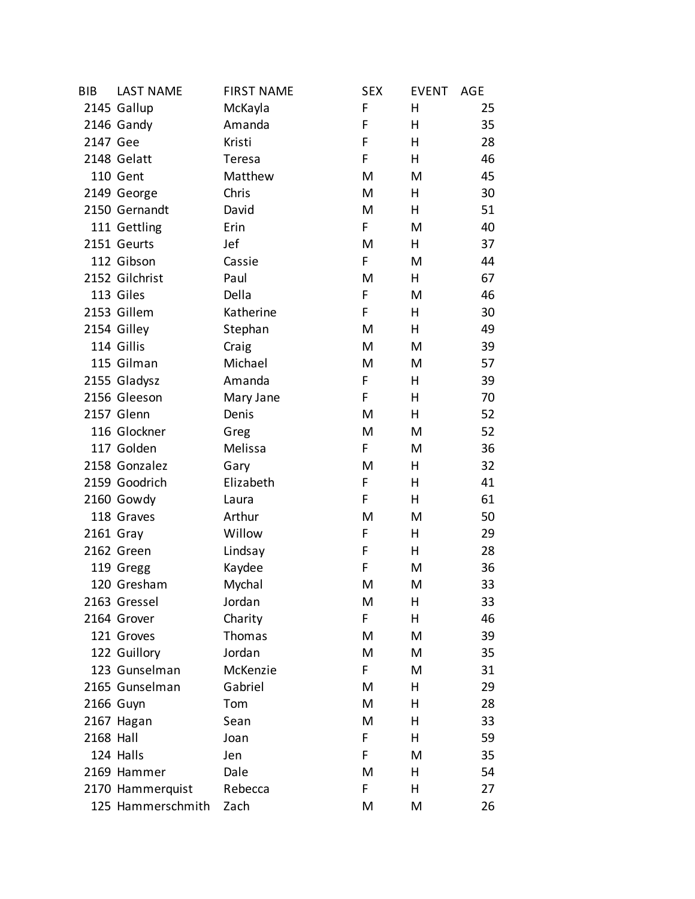| <b>BIB</b> | <b>LAST NAME</b>  | <b>FIRST NAME</b> | <b>SEX</b> | <b>EVENT</b> | AGE |
|------------|-------------------|-------------------|------------|--------------|-----|
|            | 2145 Gallup       | McKayla           | F          | н            | 25  |
|            | 2146 Gandy        | Amanda            | F          | Н            | 35  |
| 2147 Gee   |                   | Kristi            | F          | н            | 28  |
|            | 2148 Gelatt       | Teresa            | F.         | н            | 46  |
|            | 110 Gent          | Matthew           | M          | M            | 45  |
|            | 2149 George       | Chris             | M          | Н            | 30  |
|            | 2150 Gernandt     | David             | M          | Н            | 51  |
|            | 111 Gettling      | Erin              | F.         | M            | 40  |
|            | 2151 Geurts       | Jef               | M          | H            | 37  |
|            | 112 Gibson        | Cassie            | F.         | M            | 44  |
|            | 2152 Gilchrist    | Paul              | M          | Н            | 67  |
|            | 113 Giles         | Della             | F          | M            | 46  |
|            | 2153 Gillem       | Katherine         | F          | н            | 30  |
|            | 2154 Gilley       | Stephan           | M          | Н            | 49  |
|            | 114 Gillis        | Craig             | M          | M            | 39  |
|            | 115 Gilman        | Michael           | M          | M            | 57  |
|            | 2155 Gladysz      | Amanda            | F          | н            | 39  |
|            | 2156 Gleeson      | Mary Jane         | F          | Н            | 70  |
|            | 2157 Glenn        | Denis             | M          | Н            | 52  |
|            | 116 Glockner      | Greg              | M          | M            | 52  |
|            | 117 Golden        | Melissa           | F          | M            | 36  |
|            | 2158 Gonzalez     | Gary              | M          | Н            | 32  |
|            | 2159 Goodrich     | Elizabeth         | F          | н            | 41  |
|            | 2160 Gowdy        | Laura             | F.         | н            | 61  |
|            | 118 Graves        | Arthur            | M          | M            | 50  |
| 2161 Gray  |                   | Willow            | F          | Н            | 29  |
|            | 2162 Green        | Lindsay           | F          | Н            | 28  |
|            | 119 Gregg         | Kaydee            | F          | M            | 36  |
|            | 120 Gresham       | Mychal            | M          | M            | 33  |
|            | 2163 Gressel      | Jordan            | M          | н            | 33  |
|            | 2164 Grover       | Charity           | F          | н            | 46  |
|            | 121 Groves        | Thomas            | M          | M            | 39  |
|            | 122 Guillory      | Jordan            | M          | M            | 35  |
|            | 123 Gunselman     | McKenzie          | F.         | M            | 31  |
|            | 2165 Gunselman    | Gabriel           | M          | н            | 29  |
|            | 2166 Guyn         | Tom               | M          | н            | 28  |
|            | 2167 Hagan        | Sean              | M          | н            | 33  |
| 2168 Hall  |                   | Joan              | F.         | H            | 59  |
|            | 124 Halls         | Jen               | F          | M            | 35  |
|            | 2169 Hammer       | Dale              | M          | н            | 54  |
|            | 2170 Hammerquist  | Rebecca           | F          | н            | 27  |
|            | 125 Hammerschmith | Zach              | M          | M            | 26  |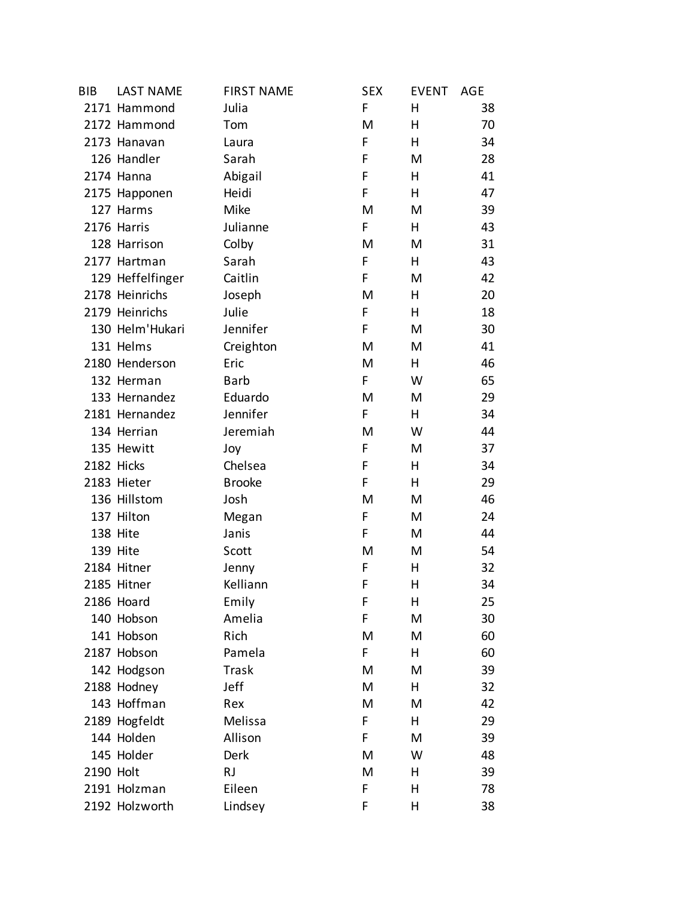| <b>BIB</b> | <b>LAST NAME</b> | <b>FIRST NAME</b> | <b>SEX</b> | <b>EVENT</b> | AGE |
|------------|------------------|-------------------|------------|--------------|-----|
|            | 2171 Hammond     | Julia             | F          | н            | 38  |
|            | 2172 Hammond     | Tom               | M          | н            | 70  |
|            | 2173 Hanavan     | Laura             | F          | Н            | 34  |
|            | 126 Handler      | Sarah             | F          | M            | 28  |
|            | 2174 Hanna       | Abigail           | F          | н            | 41  |
|            | 2175 Happonen    | Heidi             | F          | н            | 47  |
|            | 127 Harms        | Mike              | M          | M            | 39  |
|            | 2176 Harris      | Julianne          | F.         | H            | 43  |
|            | 128 Harrison     | Colby             | M          | M            | 31  |
|            | 2177 Hartman     | Sarah             | F          | Н            | 43  |
|            | 129 Heffelfinger | Caitlin           | F          | M            | 42  |
|            | 2178 Heinrichs   | Joseph            | M          | H            | 20  |
|            | 2179 Heinrichs   | Julie             | F          | н            | 18  |
|            | 130 Helm'Hukari  | Jennifer          | F          | M            | 30  |
|            | 131 Helms        | Creighton         | M          | M            | 41  |
|            | 2180 Henderson   | Eric              | M          | H            | 46  |
|            | 132 Herman       | <b>Barb</b>       | F          | W            | 65  |
|            | 133 Hernandez    | Eduardo           | M          | M            | 29  |
|            | 2181 Hernandez   | Jennifer          | F.         | н            | 34  |
|            | 134 Herrian      | Jeremiah          | M          | W            | 44  |
|            | 135 Hewitt       | Joy               | F          | M            | 37  |
|            | 2182 Hicks       | Chelsea           | F          | Н            | 34  |
|            | 2183 Hieter      | <b>Brooke</b>     | F          | н            | 29  |
|            | 136 Hillstom     | Josh              | M          | M            | 46  |
|            | 137 Hilton       | Megan             | F          | M            | 24  |
|            | 138 Hite         | Janis             | F          | M            | 44  |
|            | 139 Hite         | Scott             | M          | M            | 54  |
|            | 2184 Hitner      | Jenny             | F          | H.           | 32  |
|            | 2185 Hitner      | Kelliann          | F          | Η            | 34  |
|            | 2186 Hoard       | Emily             | F          | н            | 25  |
|            | 140 Hobson       | Amelia            | F          | M            | 30  |
|            | 141 Hobson       | Rich              | M          | M            | 60  |
|            | 2187 Hobson      | Pamela            | F          | н            | 60  |
|            | 142 Hodgson      | Trask             | M          | M            | 39  |
|            | 2188 Hodney      | Jeff              | M          | н            | 32  |
|            | 143 Hoffman      | Rex               | M          | M            | 42  |
|            | 2189 Hogfeldt    | Melissa           | F          | н            | 29  |
|            | 144 Holden       | Allison           | F          | M            | 39  |
|            | 145 Holder       | Derk              | M          | W            | 48  |
| 2190 Holt  |                  | <b>RJ</b>         | M          | н            | 39  |
|            | 2191 Holzman     | Eileen            | F          | Η            | 78  |
|            | 2192 Holzworth   | Lindsey           | F          | Η            | 38  |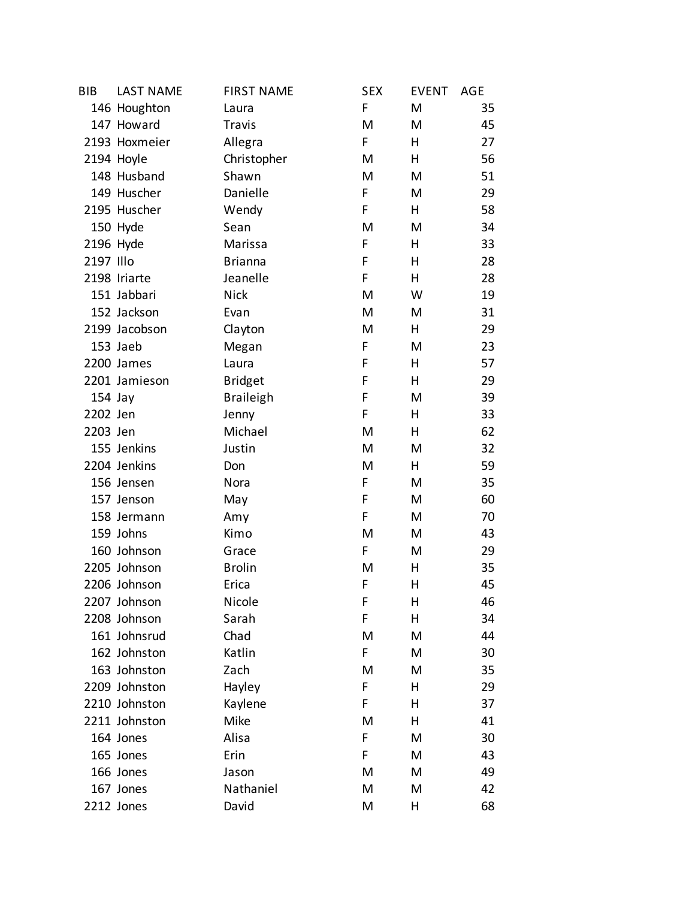| <b>BIB</b> | <b>LAST NAME</b> | <b>FIRST NAME</b> | <b>SEX</b> | <b>EVENT</b> | <b>AGE</b> |
|------------|------------------|-------------------|------------|--------------|------------|
|            | 146 Houghton     | Laura             | F          | M            | 35         |
|            | 147 Howard       | Travis            | M          | M            | 45         |
|            | 2193 Hoxmeier    | Allegra           | F          | н            | 27         |
|            | 2194 Hoyle       | Christopher       | M          | н            | 56         |
|            | 148 Husband      | Shawn             | M          | M            | 51         |
|            | 149 Huscher      | Danielle          | F          | M            | 29         |
|            | 2195 Huscher     | Wendy             | F          | Н            | 58         |
|            | 150 Hyde         | Sean              | M          | M            | 34         |
| 2196 Hyde  |                  | Marissa           | F          | н            | 33         |
| 2197 Illo  |                  | <b>Brianna</b>    | F          | н            | 28         |
|            | 2198 Iriarte     | Jeanelle          | F          | H            | 28         |
|            | 151 Jabbari      | <b>Nick</b>       | M          | W            | 19         |
|            | 152 Jackson      | Evan              | M          | M            | 31         |
|            | 2199 Jacobson    | Clayton           | M          | н            | 29         |
|            | 153 Jaeb         | Megan             | F          | M            | 23         |
|            | 2200 James       | Laura             | F          | н            | 57         |
|            | 2201 Jamieson    | <b>Bridget</b>    | F          | н            | 29         |
| $154$ Jay  |                  | <b>Braileigh</b>  | F          | M            | 39         |
| 2202 Jen   |                  | Jenny             | F          | н            | 33         |
| 2203 Jen   |                  | Michael           | M          | н            | 62         |
|            | 155 Jenkins      | Justin            | M          | M            | 32         |
|            | 2204 Jenkins     | Don               | M          | н            | 59         |
|            | 156 Jensen       | Nora              | F          | M            | 35         |
|            | 157 Jenson       | May               | F          | M            | 60         |
|            | 158 Jermann      | Amy               | F          | M            | 70         |
|            | 159 Johns        | Kimo              | M          | M            | 43         |
|            | 160 Johnson      | Grace             | F          | M            | 29         |
|            | 2205 Johnson     | <b>Brolin</b>     | M          | н            | 35         |
|            | 2206 Johnson     | Erica             | F          | Η            | 45         |
|            | 2207 Johnson     | Nicole            | F          | н            | 46         |
|            | 2208 Johnson     | Sarah             | F          | Η            | 34         |
|            | 161 Johnsrud     | Chad              | M          | M            | 44         |
|            | 162 Johnston     | Katlin            | F          | M            | 30         |
|            | 163 Johnston     | Zach              | M          | M            | 35         |
|            | 2209 Johnston    | Hayley            | F          | Η            | 29         |
|            | 2210 Johnston    | Kaylene           | F          | Η            | 37         |
|            | 2211 Johnston    | Mike              | M          | Η            | 41         |
|            | 164 Jones        | Alisa             | F          | M            | 30         |
|            | 165 Jones        | Erin              | F          | M            | 43         |
|            | 166 Jones        | Jason             | M          | M            | 49         |
|            | 167 Jones        | Nathaniel         | M          | M            | 42         |
|            | 2212 Jones       | David             | M          | Η            | 68         |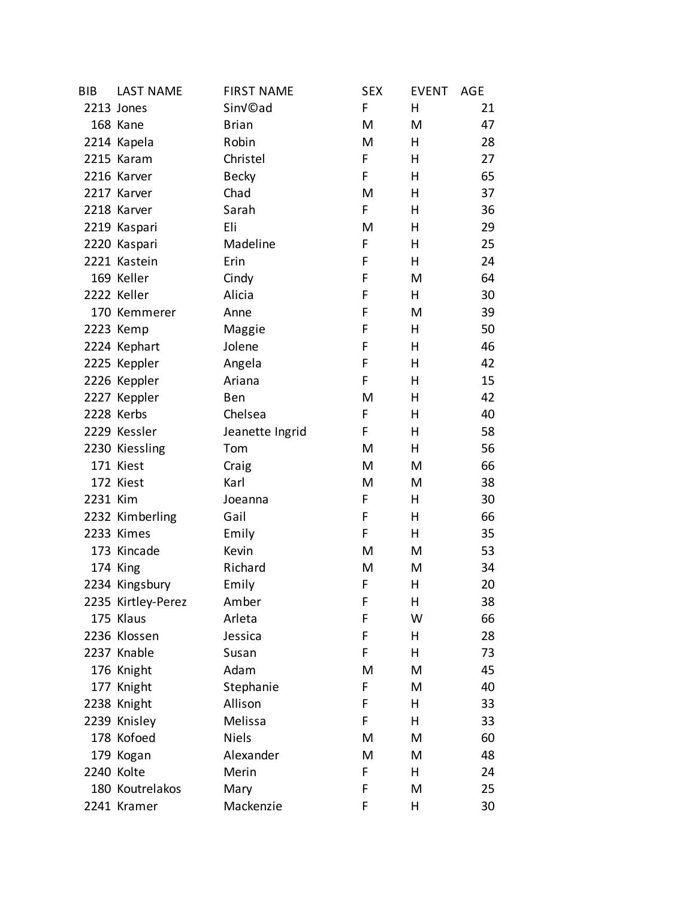| BIB      | <b>LAST NAME</b>   | <b>FIRST NAME</b>    | <b>SEX</b> | <b>EVENT</b> | AGE |
|----------|--------------------|----------------------|------------|--------------|-----|
|          | 2213 Jones         | Sin <sub>V</sub> ©ad | F          | н            | 21  |
|          | 168 Kane           | <b>Brian</b>         | M          | M            | 47  |
|          | 2214 Kapela        | Robin                | M          | н            | 28  |
|          | 2215 Karam         | Christel             | F          | н            | 27  |
|          | 2216 Karver        | <b>Becky</b>         | F          | н            | 65  |
|          | 2217 Karver        | Chad                 | M          | н            | 37  |
|          | 2218 Karver        | Sarah                | F          | н            | 36  |
|          | 2219 Kaspari       | Eli                  | M          | н            | 29  |
|          | 2220 Kaspari       | Madeline             | F          | н            | 25  |
|          | 2221 Kastein       | Erin                 | F          | H            | 24  |
|          | 169 Keller         | Cindy                | F          | M            | 64  |
|          | 2222 Keller        | Alicia               | F          | H            | 30  |
|          | 170 Kemmerer       | Anne                 | F          | M            | 39  |
|          | 2223 Kemp          | Maggie               | F          | Н            | 50  |
|          | 2224 Kephart       | Jolene               | F          | н            | 46  |
|          | 2225 Keppler       | Angela               | F          | н            | 42  |
|          | 2226 Keppler       | Ariana               | F          | н            | 15  |
|          | 2227 Keppler       | Ben                  | M          | Н            | 42  |
|          | 2228 Kerbs         | Chelsea              | F          | н            | 40  |
|          | 2229 Kessler       | Jeanette Ingrid      | F          | н            | 58  |
|          | 2230 Kiessling     | Tom                  | M          | н            | 56  |
|          | 171 Kiest          | Craig                | M          | M            | 66  |
|          | 172 Kiest          | Karl                 | M          | M            | 38  |
| 2231 Kim |                    | Joeanna              | F          | H            | 30  |
|          | 2232 Kimberling    | Gail                 | F          | н            | 66  |
|          | 2233 Kimes         | Emily                | F          | Н            | 35  |
|          | 173 Kincade        | Kevin                | M          | M            | 53  |
|          | 174 King           | Richard              | M          | M            | 34  |
|          | 2234 Kingsbury     | Emily                | F          | н            | 20  |
|          | 2235 Kirtley-Perez | Amber                | F          | н            | 38  |
|          | 175 Klaus          | Arleta               | F          | W            | 66  |
|          | 2236 Klossen       | Jessica              | F          | н            | 28  |
|          | 2237 Knable        | Susan                | F          | н            | 73  |
|          | 176 Knight         | Adam                 | M          | M            | 45  |
|          | 177 Knight         | Stephanie            | F          | M            | 40  |
|          | 2238 Knight        | Allison              | F          | н            | 33  |
|          | 2239 Knisley       | Melissa              | F          | н            | 33  |
|          | 178 Kofoed         | <b>Niels</b>         | M          | M            | 60  |
|          | 179 Kogan          | Alexander            | M          | M            | 48  |
|          | 2240 Kolte         | Merin                | F          | н            | 24  |
|          | 180 Koutrelakos    | Mary                 | F          | M            | 25  |
|          | 2241 Kramer        | Mackenzie            | F          | н            | 30  |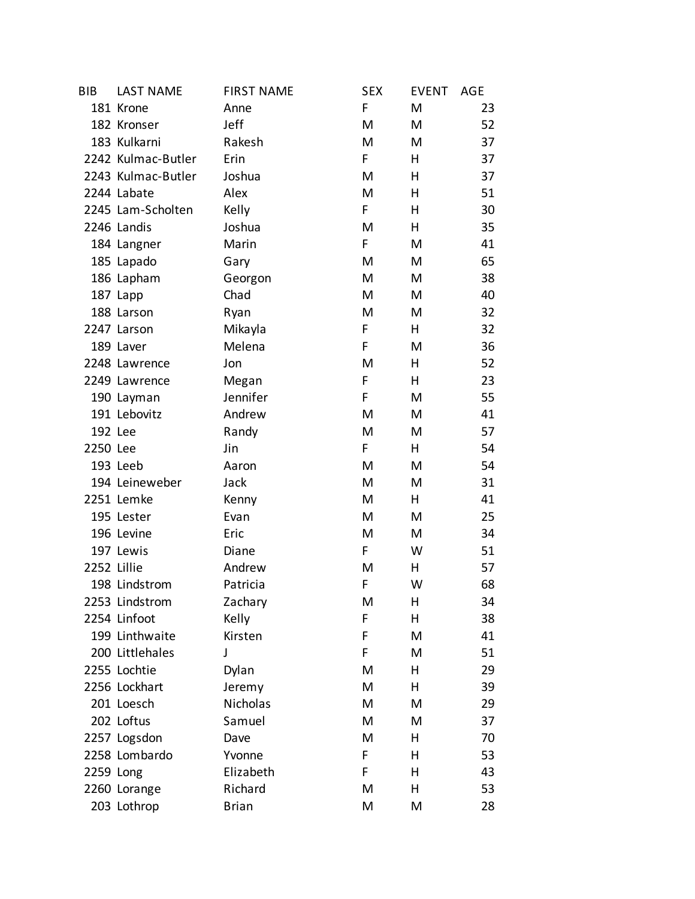| <b>BIB</b>  | <b>LAST NAME</b>   | <b>FIRST NAME</b> | <b>SEX</b> | <b>EVENT</b> | AGE |
|-------------|--------------------|-------------------|------------|--------------|-----|
|             | 181 Krone          | Anne              | F          | M            | 23  |
|             | 182 Kronser        | Jeff              | M          | M            | 52  |
|             | 183 Kulkarni       | Rakesh            | M          | M            | 37  |
|             | 2242 Kulmac-Butler | Erin              | F          | н            | 37  |
|             | 2243 Kulmac-Butler | Joshua            | M          | н            | 37  |
|             | 2244 Labate        | Alex              | M          | н            | 51  |
|             | 2245 Lam-Scholten  | Kelly             | F          | Η            | 30  |
|             | 2246 Landis        | Joshua            | M          | H            | 35  |
|             | 184 Langner        | Marin             | F          | M            | 41  |
|             | 185 Lapado         | Gary              | M          | M            | 65  |
|             | 186 Lapham         | Georgon           | M          | M            | 38  |
|             | 187 Lapp           | Chad              | M          | M            | 40  |
|             | 188 Larson         | Ryan              | M          | M            | 32  |
|             | 2247 Larson        | Mikayla           | F          | H            | 32  |
|             | 189 Laver          | Melena            | F          | M            | 36  |
|             | 2248 Lawrence      | Jon               | M          | н            | 52  |
|             | 2249 Lawrence      | Megan             | F          | н            | 23  |
|             | 190 Layman         | Jennifer          | F          | M            | 55  |
|             | 191 Lebovitz       | Andrew            | M          | M            | 41  |
| 192 Lee     |                    | Randy             | M          | M            | 57  |
| 2250 Lee    |                    | Jin               | F          | H            | 54  |
|             | 193 Leeb           | Aaron             | M          | M            | 54  |
|             | 194 Leineweber     | Jack              | M          | M            | 31  |
|             | 2251 Lemke         | Kenny             | M          | H            | 41  |
|             | 195 Lester         | Evan              | M          | M            | 25  |
|             | 196 Levine         | Eric              | M          | M            | 34  |
|             | 197 Lewis          | Diane             | F          | W            | 51  |
| 2252 Lillie |                    | Andrew            | M          | H            | 57  |
|             | 198 Lindstrom      | Patricia          | F          | W            | 68  |
|             | 2253 Lindstrom     | Zachary           | M          | Η            | 34  |
|             | 2254 Linfoot       | Kelly             | F          | н            | 38  |
|             | 199 Linthwaite     | Kirsten           | F          | M            | 41  |
|             | 200 Littlehales    | J                 | F          | M            | 51  |
|             | 2255 Lochtie       | Dylan             | M          | н            | 29  |
|             | 2256 Lockhart      | Jeremy            | M          | н            | 39  |
|             | 201 Loesch         | Nicholas          | M          | M            | 29  |
|             | 202 Loftus         | Samuel            | M          | M            | 37  |
|             | 2257 Logsdon       | Dave              | М          | н            | 70  |
|             | 2258 Lombardo      | Yvonne            | F          | н            | 53  |
| 2259 Long   |                    | Elizabeth         | F          | н            | 43  |
|             | 2260 Lorange       | Richard           | M          | Η            | 53  |
|             | 203 Lothrop        | <b>Brian</b>      | M          | M            | 28  |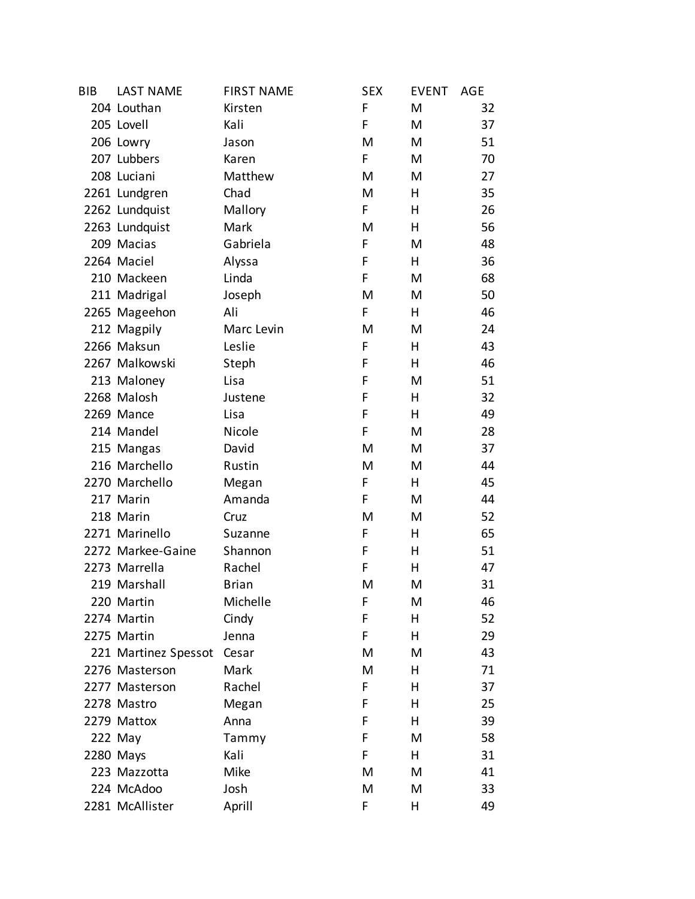| <b>BIB</b> | <b>LAST NAME</b>     | <b>FIRST NAME</b> | <b>SEX</b> | <b>EVENT</b> | AGE |
|------------|----------------------|-------------------|------------|--------------|-----|
|            | 204 Louthan          | Kirsten           | F          | M            | 32  |
|            | 205 Lovell           | Kali              | F          | M            | 37  |
|            | 206 Lowry            | Jason             | M          | M            | 51  |
|            | 207 Lubbers          | Karen             | F          | M            | 70  |
|            | 208 Luciani          | Matthew           | M          | M            | 27  |
|            | 2261 Lundgren        | Chad              | M          | н            | 35  |
|            | 2262 Lundquist       | Mallory           | F          | Η            | 26  |
|            | 2263 Lundquist       | Mark              | M          | н            | 56  |
|            | 209 Macias           | Gabriela          | F          | M            | 48  |
|            | 2264 Maciel          | Alyssa            | F          | н            | 36  |
|            | 210 Mackeen          | Linda             | F          | M            | 68  |
|            | 211 Madrigal         | Joseph            | M          | M            | 50  |
|            | 2265 Mageehon        | Ali               | F          | н            | 46  |
|            | 212 Magpily          | Marc Levin        | M          | M            | 24  |
|            | 2266 Maksun          | Leslie            | F          | н            | 43  |
|            | 2267 Malkowski       | Steph             | F          | н            | 46  |
|            | 213 Maloney          | Lisa              | F          | M            | 51  |
|            | 2268 Malosh          | Justene           | F          | н            | 32  |
|            | 2269 Mance           | Lisa              | F          | н            | 49  |
|            | 214 Mandel           | Nicole            | F          | M            | 28  |
|            | 215 Mangas           | David             | M          | M            | 37  |
|            | 216 Marchello        | Rustin            | M          | M            | 44  |
|            | 2270 Marchello       | Megan             | F          | н            | 45  |
|            | 217 Marin            | Amanda            | F          | M            | 44  |
|            | 218 Marin            | Cruz              | M          | M            | 52  |
|            | 2271 Marinello       | Suzanne           | F          | н            | 65  |
|            | 2272 Markee-Gaine    | Shannon           | F          | Η            | 51  |
|            | 2273 Marrella        | Rachel            | F          | н            | 47  |
|            | 219 Marshall         | <b>Brian</b>      | M          | M            | 31  |
|            | 220 Martin           | Michelle          | F          | M            | 46  |
|            | 2274 Martin          | Cindy             | F          | Η            | 52  |
|            | 2275 Martin          | Jenna             | F          | н            | 29  |
|            | 221 Martinez Spessot | Cesar             | M          | M            | 43  |
|            | 2276 Masterson       | Mark              | M          | н            | 71  |
|            | 2277 Masterson       | Rachel            | F          | н            | 37  |
|            | 2278 Mastro          | Megan             | F          | н            | 25  |
|            | 2279 Mattox          | Anna              | F          | Η            | 39  |
|            | 222 May              | Tammy             | F          | M            | 58  |
|            | 2280 Mays            | Kali              | F          | н            | 31  |
|            | 223 Mazzotta         | Mike              | M          | M            | 41  |
|            | 224 McAdoo           | Josh              | M          | M            | 33  |
|            | 2281 McAllister      | Aprill            | F          | Η            | 49  |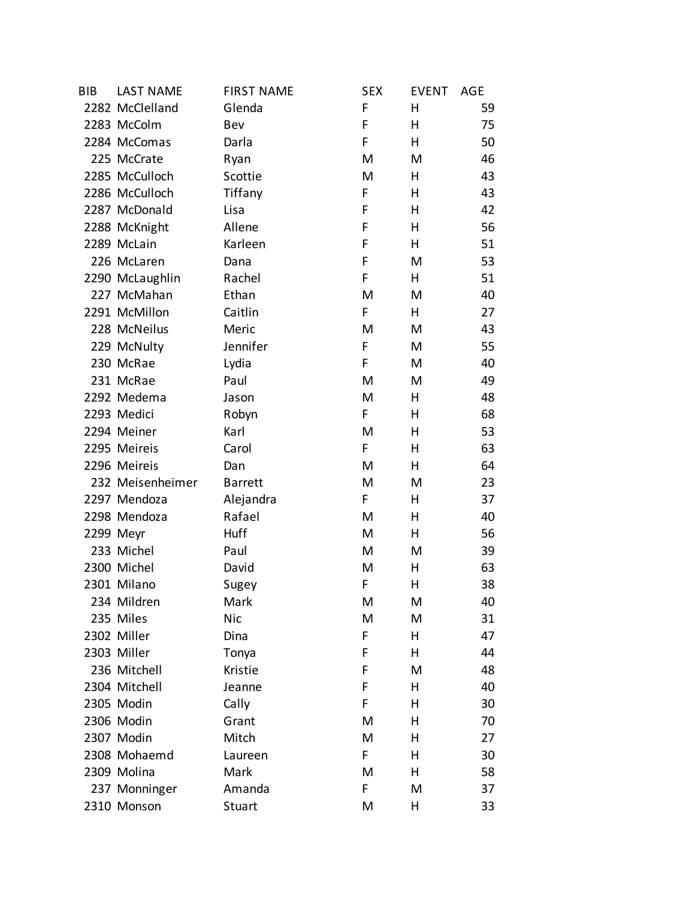| <b>BIB</b> | <b>LAST NAME</b> | <b>FIRST NAME</b> | <b>SEX</b> | <b>EVENT</b> | AGE |
|------------|------------------|-------------------|------------|--------------|-----|
|            | 2282 McClelland  | Glenda            | F          | н            | 59  |
|            | 2283 McColm      | Bev               | F          | н            | 75  |
|            | 2284 McComas     | Darla             | F          | н            | 50  |
|            | 225 McCrate      | Ryan              | M          | M            | 46  |
|            | 2285 McCulloch   | Scottie           | M          | н            | 43  |
|            | 2286 McCulloch   | Tiffany           | F          | н            | 43  |
|            | 2287 McDonald    | Lisa              | F          | Η            | 42  |
|            | 2288 McKnight    | Allene            | F          | н            | 56  |
|            | 2289 McLain      | Karleen           | F          | н            | 51  |
|            | 226 McLaren      | Dana              | F          | M            | 53  |
|            | 2290 McLaughlin  | Rachel            | F          | н            | 51  |
|            | 227 McMahan      | Ethan             | M          | M            | 40  |
|            | 2291 McMillon    | Caitlin           | F          | H            | 27  |
|            | 228 McNeilus     | Meric             | M          | M            | 43  |
|            | 229 McNulty      | Jennifer          | F          | M            | 55  |
|            | 230 McRae        | Lydia             | F          | M            | 40  |
|            | 231 McRae        | Paul              | M          | M            | 49  |
|            | 2292 Medema      | Jason             | M          | н            | 48  |
|            | 2293 Medici      | Robyn             | F          | Η            | 68  |
|            | 2294 Meiner      | Karl              | M          | н            | 53  |
|            | 2295 Meireis     | Carol             | F          | н            | 63  |
|            | 2296 Meireis     | Dan               | M          | н            | 64  |
|            | 232 Meisenheimer | <b>Barrett</b>    | M          | M            | 23  |
|            | 2297 Mendoza     | Alejandra         | F.         | н            | 37  |
|            | 2298 Mendoza     | Rafael            | M          | н            | 40  |
|            | 2299 Meyr        | Huff              | M          | Н            | 56  |
|            | 233 Michel       | Paul              | M          | M            | 39  |
|            | 2300 Michel      | David             | M          | н            | 63  |
|            | 2301 Milano      | Sugey             | F          | Η            | 38  |
|            | 234 Mildren      | Mark              | M          | Μ            | 40  |
|            | 235 Miles        | <b>Nic</b>        | M          | M            | 31  |
|            | 2302 Miller      | Dina              | F          | н            | 47  |
|            | 2303 Miller      | Tonya             | F          | н            | 44  |
|            | 236 Mitchell     | Kristie           | F          | M            | 48  |
|            | 2304 Mitchell    | Jeanne            | F          | Н            | 40  |
|            | 2305 Modin       | Cally             | F          | н            | 30  |
|            | 2306 Modin       | Grant             | M          | Η            | 70  |
|            | 2307 Modin       | Mitch             | M          | н            | 27  |
|            | 2308 Mohaemd     | Laureen           | F          | Η            | 30  |
|            | 2309 Molina      | Mark              | M          | н            | 58  |
|            | 237 Monninger    | Amanda            | F          | M            | 37  |
|            | 2310 Monson      | Stuart            | M          | Η            | 33  |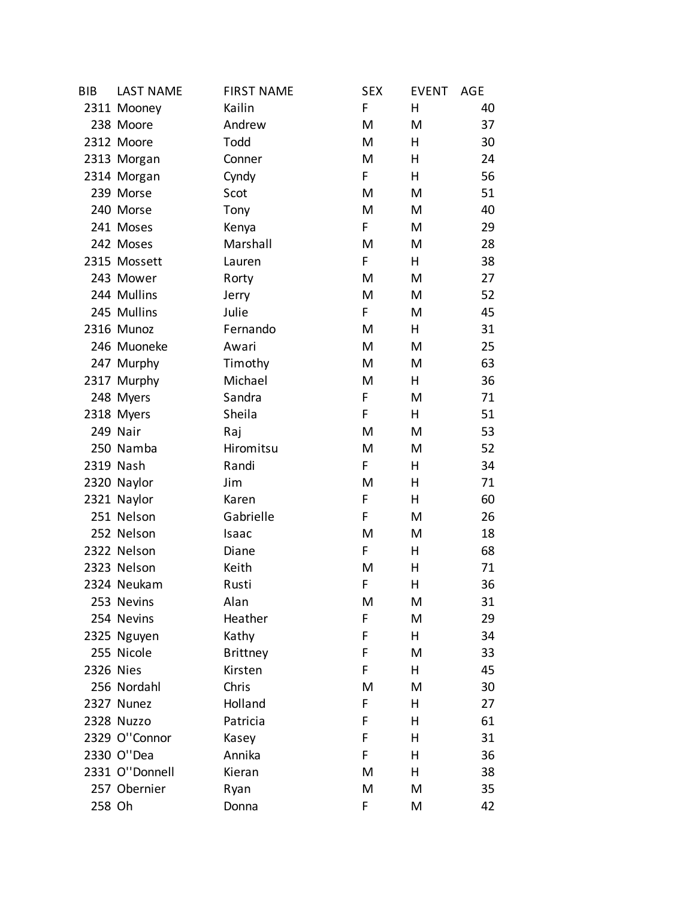| <b>BIB</b> | <b>LAST NAME</b> | <b>FIRST NAME</b> | <b>SEX</b> | <b>EVENT</b> | AGE |
|------------|------------------|-------------------|------------|--------------|-----|
|            | 2311 Mooney      | Kailin            | F          | Н            | 40  |
|            | 238 Moore        | Andrew            | M          | M            | 37  |
|            | 2312 Moore       | Todd              | M          | Н            | 30  |
|            | 2313 Morgan      | Conner            | M          | Н            | 24  |
|            | 2314 Morgan      | Cyndy             | F.         | H            | 56  |
|            | 239 Morse        | Scot              | M          | M            | 51  |
|            | 240 Morse        | Tony              | M          | M            | 40  |
|            | 241 Moses        | Kenya             | F.         | M            | 29  |
|            | 242 Moses        | Marshall          | M          | M            | 28  |
|            | 2315 Mossett     | Lauren            | F.         | Н            | 38  |
|            | 243 Mower        | Rorty             | M          | M            | 27  |
|            | 244 Mullins      | Jerry             | M          | M            | 52  |
|            | 245 Mullins      | Julie             | F          | M            | 45  |
|            | 2316 Munoz       | Fernando          | M          | Н            | 31  |
|            | 246 Muoneke      | Awari             | M          | M            | 25  |
|            | 247 Murphy       | Timothy           | M          | M            | 63  |
|            | 2317 Murphy      | Michael           | M          | Н            | 36  |
|            | 248 Myers        | Sandra            | F          | M            | 71  |
|            | 2318 Myers       | Sheila            | F          | Н            | 51  |
|            | 249 Nair         | Raj               | M          | M            | 53  |
|            | 250 Namba        | Hiromitsu         | M          | M            | 52  |
|            | 2319 Nash        | Randi             | F.         | Н            | 34  |
|            | 2320 Naylor      | Jim               | M          | Н            | 71  |
|            | 2321 Naylor      | Karen             | F          | Н            | 60  |
|            | 251 Nelson       | Gabrielle         | F          | M            | 26  |
|            | 252 Nelson       | Isaac             | M          | M            | 18  |
|            | 2322 Nelson      | Diane             | F          | Н            | 68  |
|            | 2323 Nelson      | Keith             | M          | Н            | 71  |
|            | 2324 Neukam      | Rusti             | F          | Η            | 36  |
|            | 253 Nevins       | Alan              | M          | Μ            | 31  |
|            | 254 Nevins       | Heather           | F          | M            | 29  |
|            | 2325 Nguyen      | Kathy             | F          | Н            | 34  |
|            | 255 Nicole       | <b>Brittney</b>   | F          | M            | 33  |
| 2326 Nies  |                  | Kirsten           | F          | Н            | 45  |
|            | 256 Nordahl      | Chris             | M          | M            | 30  |
|            | 2327 Nunez       | Holland           | F          | Н            | 27  |
|            | 2328 Nuzzo       | Patricia          | F          | Н            | 61  |
|            | 2329 O"Connor    | Kasey             | F          | н            | 31  |
|            | 2330 O"Dea       | Annika            | F          | н            | 36  |
|            | 2331 O"Donnell   | Kieran            | M          | Н            | 38  |
|            | 257 Obernier     | Ryan              | M          | M            | 35  |
| 258 Oh     |                  | Donna             | F          | M            | 42  |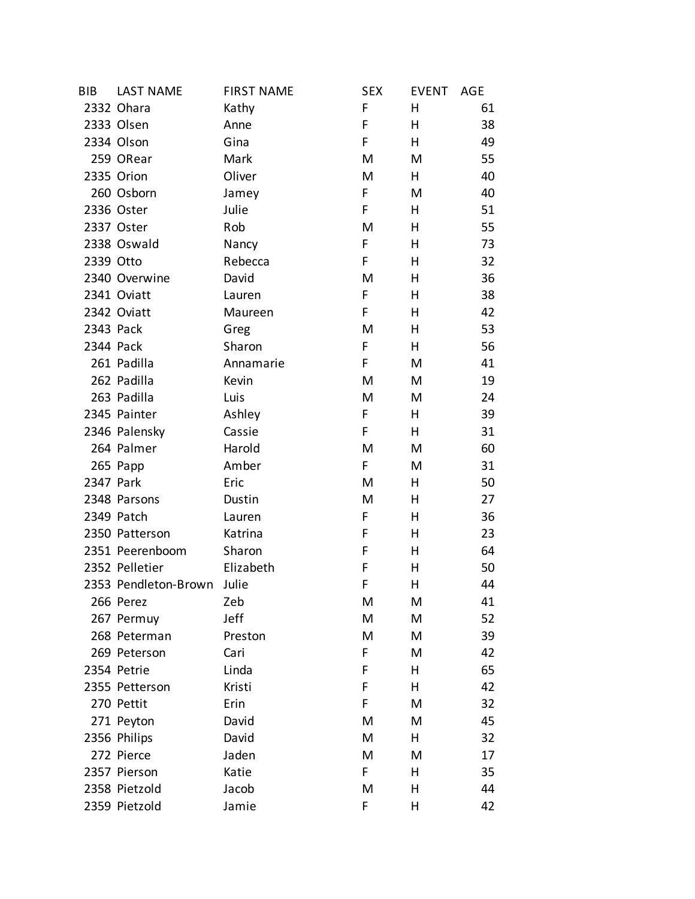| BIB       | <b>LAST NAME</b>     | <b>FIRST NAME</b> | <b>SEX</b> | <b>EVENT</b> | AGE |
|-----------|----------------------|-------------------|------------|--------------|-----|
|           | 2332 Ohara           | Kathy             | F          | Η            | 61  |
|           | 2333 Olsen           | Anne              | F          | н            | 38  |
|           | 2334 Olson           | Gina              | F          | н            | 49  |
|           | 259 ORear            | Mark              | M          | M            | 55  |
|           | 2335 Orion           | Oliver            | M          | н            | 40  |
|           | 260 Osborn           | Jamey             | F          | M            | 40  |
|           | 2336 Oster           | Julie             | F          | н            | 51  |
|           | 2337 Oster           | Rob               | M          | н            | 55  |
|           | 2338 Oswald          | Nancy             | F          | н            | 73  |
| 2339 Otto |                      | Rebecca           | F          | Η            | 32  |
|           | 2340 Overwine        | David             | M          | Η            | 36  |
|           | 2341 Oviatt          | Lauren            | F          | н            | 38  |
|           | 2342 Oviatt          | Maureen           | F          | Η            | 42  |
| 2343 Pack |                      | Greg              | M          | н            | 53  |
| 2344 Pack |                      | Sharon            | F          | н            | 56  |
|           | 261 Padilla          | Annamarie         | F.         | M            | 41  |
|           | 262 Padilla          | Kevin             | M          | M            | 19  |
|           | 263 Padilla          | Luis              | M          | M            | 24  |
|           | 2345 Painter         | Ashley            | F          | н            | 39  |
|           | 2346 Palensky        | Cassie            | F          | н            | 31  |
|           | 264 Palmer           | Harold            | M          | M            | 60  |
|           | 265 Papp             | Amber             | F.         | M            | 31  |
| 2347 Park |                      | Eric              | M          | н            | 50  |
|           | 2348 Parsons         | Dustin            | M          | н            | 27  |
|           | 2349 Patch           | Lauren            | F          | н            | 36  |
|           | 2350 Patterson       | Katrina           | F          | Η            | 23  |
|           | 2351 Peerenboom      | Sharon            | F          | Η            | 64  |
|           | 2352 Pelletier       | Elizabeth         | F          | н            | 50  |
|           | 2353 Pendleton-Brown | Julie             | F          | Η            | 44  |
|           | 266 Perez            | Zeb               | Μ          | Μ            | 41  |
|           | 267 Permuy           | Jeff              | Μ          | M            | 52  |
|           | 268 Peterman         | Preston           | M          | M            | 39  |
|           | 269 Peterson         | Cari              | F          | M            | 42  |
|           | 2354 Petrie          | Linda             | F          | н            | 65  |
|           | 2355 Petterson       | Kristi            | F          | Н            | 42  |
|           | 270 Pettit           | Erin              | F          | M            | 32  |
|           | 271 Peyton           | David             | M          | M            | 45  |
|           | 2356 Philips         | David             | Μ          | H.           | 32  |
|           | 272 Pierce           | Jaden             | M          | M            | 17  |
|           | 2357 Pierson         | Katie             | F          | н            | 35  |
|           | 2358 Pietzold        | Jacob             | M          | Η            | 44  |
|           | 2359 Pietzold        | Jamie             | F          | Η            | 42  |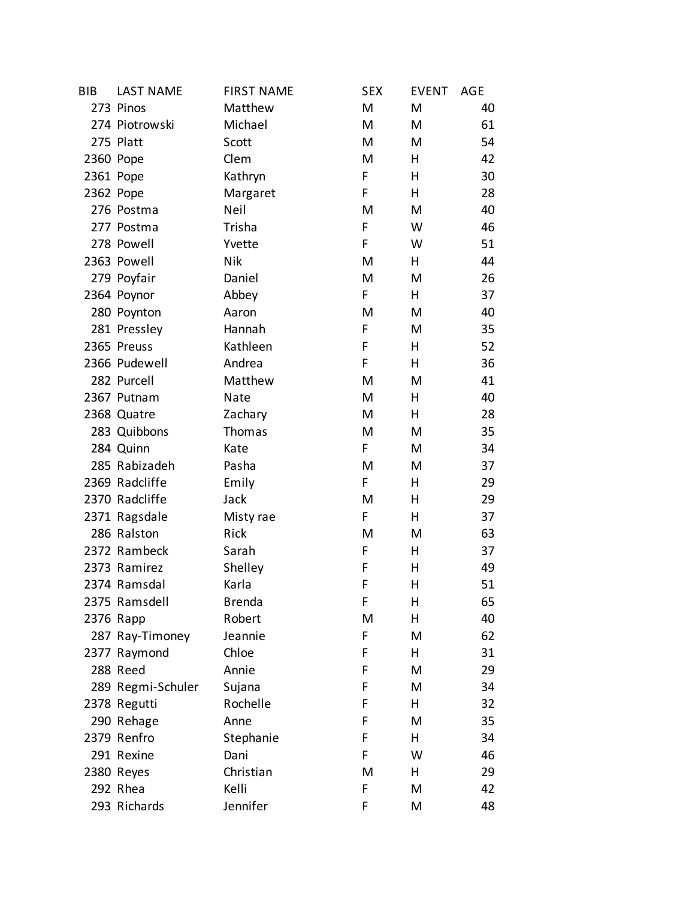| <b>BIB</b> | <b>LAST NAME</b>  | <b>FIRST NAME</b> | <b>SEX</b> | <b>EVENT</b> | AGE |
|------------|-------------------|-------------------|------------|--------------|-----|
|            | 273 Pinos         | Matthew           | M          | M            | 40  |
|            | 274 Piotrowski    | Michael           | M          | M            | 61  |
|            | 275 Platt         | Scott             | M          | M            | 54  |
| 2360 Pope  |                   | Clem              | M          | H            | 42  |
|            | 2361 Pope         | Kathryn           | F          | н            | 30  |
| 2362 Pope  |                   | Margaret          | F          | н            | 28  |
|            | 276 Postma        | Neil              | M          | M            | 40  |
|            | 277 Postma        | Trisha            | F          | W            | 46  |
|            | 278 Powell        | Yvette            | F          | W            | 51  |
|            | 2363 Powell       | <b>Nik</b>        | M          | H            | 44  |
|            | 279 Poyfair       | Daniel            | M          | M            | 26  |
|            | 2364 Poynor       | Abbey             | F.         | H            | 37  |
|            | 280 Poynton       | Aaron             | M          | M            | 40  |
|            | 281 Pressley      | Hannah            | F          | M            | 35  |
|            | 2365 Preuss       | Kathleen          | F          | н            | 52  |
|            | 2366 Pudewell     | Andrea            | F          | н            | 36  |
|            | 282 Purcell       | Matthew           | M          | M            | 41  |
|            | 2367 Putnam       | Nate              | M          | Н            | 40  |
|            | 2368 Quatre       | Zachary           | M          | н            | 28  |
|            | 283 Quibbons      | Thomas            | M          | M            | 35  |
|            | 284 Quinn         | Kate              | F          | M            | 34  |
|            | 285 Rabizadeh     | Pasha             | M          | M            | 37  |
|            | 2369 Radcliffe    | Emily             | F          | н            | 29  |
|            | 2370 Radcliffe    | Jack              | M          | н            | 29  |
|            | 2371 Ragsdale     | Misty rae         | F          | н            | 37  |
|            | 286 Ralston       | Rick              | M          | M            | 63  |
|            | 2372 Rambeck      | Sarah             | F          | Н            | 37  |
|            | 2373 Ramirez      | Shelley           | F          | н            | 49  |
|            | 2374 Ramsdal      | Karla             | F          | Η            | 51  |
|            | 2375 Ramsdell     | <b>Brenda</b>     | F          | н            | 65  |
|            | 2376 Rapp         | Robert            | M          | Н            | 40  |
|            | 287 Ray-Timoney   | Jeannie           | F          | M            | 62  |
|            | 2377 Raymond      | Chloe             | F          | н            | 31  |
|            | 288 Reed          | Annie             | F          | M            | 29  |
|            | 289 Regmi-Schuler | Sujana            | F          | M            | 34  |
|            | 2378 Regutti      | Rochelle          | F          | н            | 32  |
|            | 290 Rehage        | Anne              | F          | M            | 35  |
|            | 2379 Renfro       | Stephanie         | F          | H            | 34  |
|            | 291 Rexine        | Dani              | F          | W            | 46  |
|            | 2380 Reyes        | Christian         | M          | H            | 29  |
|            | 292 Rhea          | Kelli             | F          | M            | 42  |
|            | 293 Richards      | Jennifer          | F          | Μ            | 48  |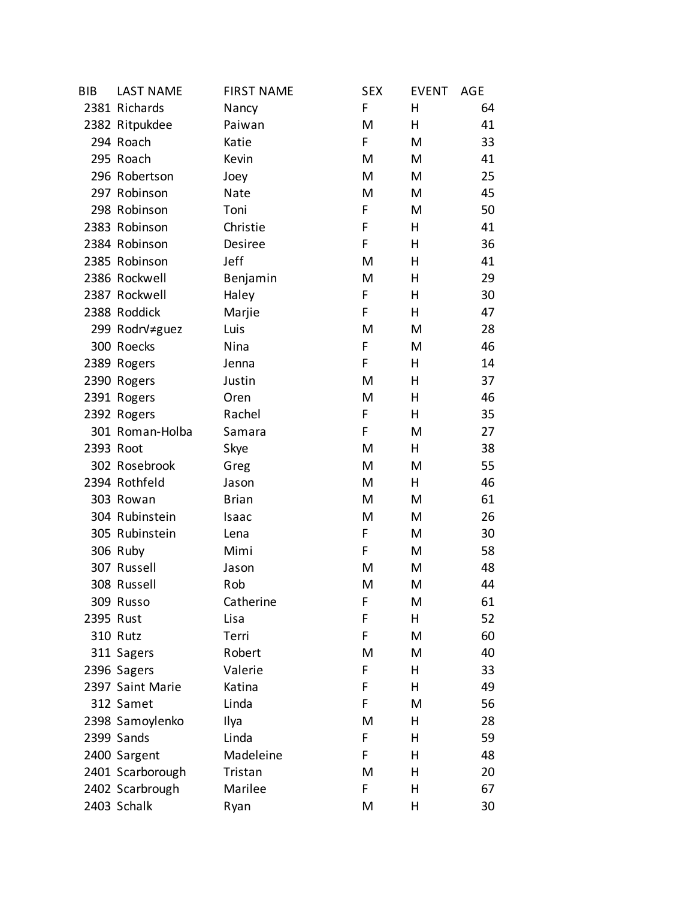| <b>BIB</b> | <b>LAST NAME</b> | <b>FIRST NAME</b> | <b>SEX</b> | <b>EVENT</b> | AGE |
|------------|------------------|-------------------|------------|--------------|-----|
|            | 2381 Richards    | Nancy             | F          | н            | 64  |
|            | 2382 Ritpukdee   | Paiwan            | M          | н            | 41  |
|            | 294 Roach        | Katie             | F          | M            | 33  |
|            | 295 Roach        | Kevin             | M          | M            | 41  |
|            | 296 Robertson    | Joey              | M          | M            | 25  |
|            | 297 Robinson     | Nate              | M          | M            | 45  |
|            | 298 Robinson     | Toni              | F          | M            | 50  |
|            | 2383 Robinson    | Christie          | F          | н            | 41  |
|            | 2384 Robinson    | Desiree           | F          | н            | 36  |
|            | 2385 Robinson    | Jeff              | M          | н            | 41  |
|            | 2386 Rockwell    | Benjamin          | M          | н            | 29  |
|            | 2387 Rockwell    | Haley             | F          | н            | 30  |
|            | 2388 Roddick     | Marjie            | F          | н            | 47  |
|            | 299 RodrV≠guez   | Luis              | M          | M            | 28  |
|            | 300 Roecks       | Nina              | F          | M            | 46  |
|            | 2389 Rogers      | Jenna             | F          | н            | 14  |
|            | 2390 Rogers      | Justin            | M          | н            | 37  |
|            | 2391 Rogers      | Oren              | M          | н            | 46  |
|            | 2392 Rogers      | Rachel            | F          | н            | 35  |
|            | 301 Roman-Holba  | Samara            | F          | M            | 27  |
| 2393 Root  |                  | Skye              | M          | н            | 38  |
|            | 302 Rosebrook    | Greg              | M          | M            | 55  |
|            | 2394 Rothfeld    | Jason             | M          | н            | 46  |
|            | 303 Rowan        | <b>Brian</b>      | Μ          | M            | 61  |
|            | 304 Rubinstein   | Isaac             | M          | M            | 26  |
|            | 305 Rubinstein   | Lena              | F          | M            | 30  |
|            | 306 Ruby         | Mimi              | F          | M            | 58  |
|            | 307 Russell      | Jason             | M          | M            | 48  |
|            | 308 Russell      | Rob               | M          | M            | 44  |
|            | 309 Russo        | Catherine         | F          | Μ            | 61  |
| 2395 Rust  |                  | Lisa              | F          | Н            | 52  |
|            | <b>310 Rutz</b>  | Terri             | F          | M            | 60  |
|            | 311 Sagers       | Robert            | M          | M            | 40  |
|            | 2396 Sagers      | Valerie           | F          | н            | 33  |
|            | 2397 Saint Marie | Katina            | F          | н            | 49  |
|            | 312 Samet        | Linda             | F          | M            | 56  |
|            | 2398 Samoylenko  | Ilya              | M          | Η            | 28  |
|            | 2399 Sands       | Linda             | F          | н            | 59  |
|            | 2400 Sargent     | Madeleine         | F          | н            | 48  |
|            | 2401 Scarborough | Tristan           | M          | н            | 20  |
|            | 2402 Scarbrough  | Marilee           | F          | Η            | 67  |
|            | 2403 Schalk      | Ryan              | M          | Η            | 30  |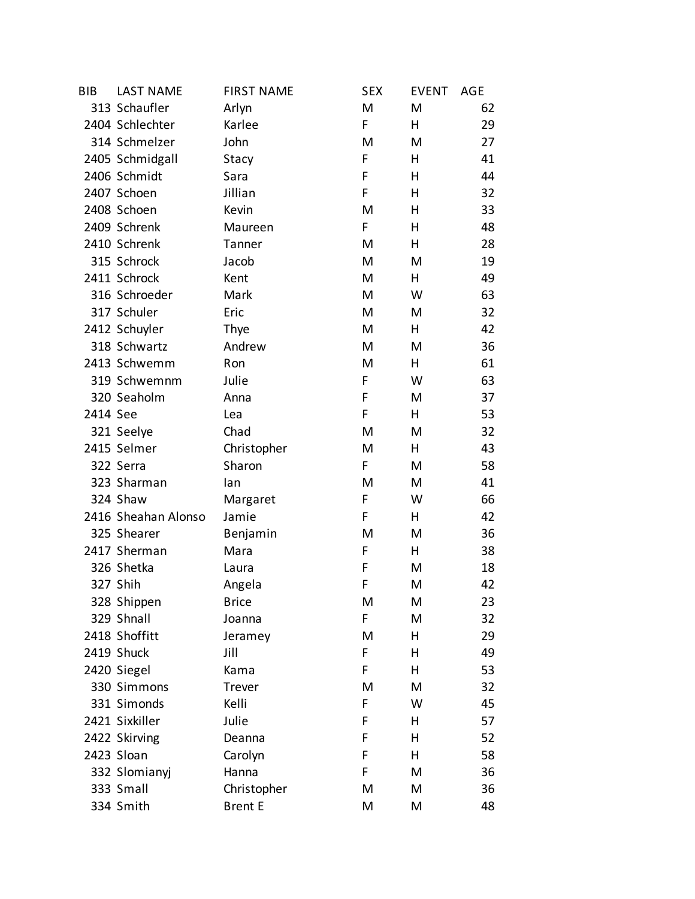| <b>BIB</b> | <b>LAST NAME</b>    | <b>FIRST NAME</b> | <b>SEX</b> | <b>EVENT</b> | <b>AGE</b> |
|------------|---------------------|-------------------|------------|--------------|------------|
|            | 313 Schaufler       | Arlyn             | M          | M            | 62         |
|            | 2404 Schlechter     | Karlee            | F          | н            | 29         |
|            | 314 Schmelzer       | John              | M          | M            | 27         |
|            | 2405 Schmidgall     | Stacy             | F          | н            | 41         |
|            | 2406 Schmidt        | Sara              | F          | н            | 44         |
|            | 2407 Schoen         | Jillian           | F          | н            | 32         |
|            | 2408 Schoen         | Kevin             | M          | Η            | 33         |
|            | 2409 Schrenk        | Maureen           | F          | н            | 48         |
|            | 2410 Schrenk        | Tanner            | M          | н            | 28         |
|            | 315 Schrock         | Jacob             | M          | M            | 19         |
|            | 2411 Schrock        | Kent              | M          | Н            | 49         |
|            | 316 Schroeder       | Mark              | M          | W            | 63         |
|            | 317 Schuler         | Eric              | M          | M            | 32         |
|            | 2412 Schuyler       | Thye              | M          | н            | 42         |
|            | 318 Schwartz        | Andrew            | M          | M            | 36         |
|            | 2413 Schwemm        | Ron               | M          | н            | 61         |
|            | 319 Schwemnm        | Julie             | F          | W            | 63         |
|            | 320 Seaholm         | Anna              | F          | M            | 37         |
| 2414 See   |                     | Lea               | F          | н            | 53         |
|            | 321 Seelye          | Chad              | M          | M            | 32         |
|            | 2415 Selmer         | Christopher       | M          | н            | 43         |
|            | 322 Serra           | Sharon            | F          | M            | 58         |
|            | 323 Sharman         | lan               | M          | M            | 41         |
|            | 324 Shaw            | Margaret          | F          | W            | 66         |
|            | 2416 Sheahan Alonso | Jamie             | F          | н            | 42         |
|            | 325 Shearer         | Benjamin          | M          | M            | 36         |
|            | 2417 Sherman        | Mara              | F          | н            | 38         |
|            | 326 Shetka          | Laura             | F          | M            | 18         |
|            | 327 Shih            | Angela            | F          | M            | 42         |
|            | 328 Shippen         | <b>Brice</b>      | Μ          | M            | 23         |
|            | 329 Shnall          | Joanna            | F          | M            | 32         |
|            | 2418 Shoffitt       | Jeramey           | M          | Η            | 29         |
|            | 2419 Shuck          | Jill              | F          | Η            | 49         |
|            | 2420 Siegel         | Kama              | F          | н            | 53         |
|            | 330 Simmons         | Trever            | M          | M            | 32         |
|            | 331 Simonds         | Kelli             | F          | W            | 45         |
|            | 2421 Sixkiller      | Julie             | F          | н            | 57         |
|            | 2422 Skirving       | Deanna            | F          | н            | 52         |
|            | 2423 Sloan          | Carolyn           | F          | н            | 58         |
|            | 332 Slomianyj       | Hanna             | F          | M            | 36         |
|            | 333 Small           | Christopher       | M          | M            | 36         |
|            | 334 Smith           | <b>Brent E</b>    | M          | M            | 48         |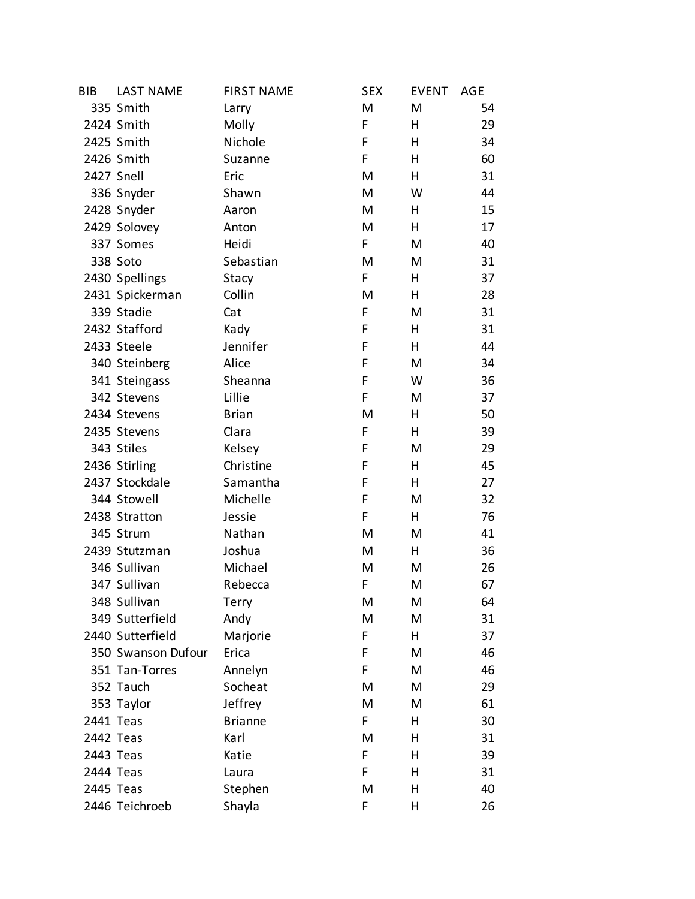| <b>BIB</b> | <b>LAST NAME</b>   | <b>FIRST NAME</b> | <b>SEX</b> | <b>EVENT</b> | AGE |
|------------|--------------------|-------------------|------------|--------------|-----|
|            | 335 Smith          | Larry             | M          | M            | 54  |
|            | 2424 Smith         | Molly             | F          | H            | 29  |
|            | 2425 Smith         | Nichole           | F          | н            | 34  |
|            | 2426 Smith         | Suzanne           | F          | н            | 60  |
| 2427 Snell |                    | Eric              | M          | Н            | 31  |
|            | 336 Snyder         | Shawn             | M          | W            | 44  |
|            | 2428 Snyder        | Aaron             | M          | Н            | 15  |
|            | 2429 Solovey       | Anton             | M          | H            | 17  |
|            | 337 Somes          | Heidi             | F          | M            | 40  |
|            | 338 Soto           | Sebastian         | M          | M            | 31  |
|            | 2430 Spellings     | Stacy             | F          | н            | 37  |
|            | 2431 Spickerman    | Collin            | M          | H            | 28  |
|            | 339 Stadie         | Cat               | F          | M            | 31  |
|            | 2432 Stafford      | Kady              | F          | Н            | 31  |
|            | 2433 Steele        | Jennifer          | F          | н            | 44  |
|            | 340 Steinberg      | Alice             | F          | M            | 34  |
|            | 341 Steingass      | Sheanna           | F          | W            | 36  |
|            | 342 Stevens        | Lillie            | F          | M            | 37  |
|            | 2434 Stevens       | <b>Brian</b>      | M          | н            | 50  |
|            | 2435 Stevens       | Clara             | F          | H            | 39  |
|            | 343 Stiles         | Kelsey            | F          | M            | 29  |
|            | 2436 Stirling      | Christine         | F          | Н            | 45  |
|            | 2437 Stockdale     | Samantha          | F          | н            | 27  |
|            | 344 Stowell        | Michelle          | F          | M            | 32  |
|            | 2438 Stratton      | Jessie            | F          | Н            | 76  |
|            | 345 Strum          | Nathan            | M          | M            | 41  |
|            | 2439 Stutzman      | Joshua            | M          | Н            | 36  |
|            | 346 Sullivan       | Michael           | M          | M            | 26  |
|            | 347 Sullivan       | Rebecca           | F          | M            | 67  |
|            | 348 Sullivan       | Terry             | M          | M            | 64  |
|            | 349 Sutterfield    | Andy              | M          | M            | 31  |
|            | 2440 Sutterfield   | Marjorie          | F          | н            | 37  |
|            | 350 Swanson Dufour | Erica             | F          | M            | 46  |
|            | 351 Tan-Torres     | Annelyn           | F          | M            | 46  |
|            | 352 Tauch          | Socheat           | M          | M            | 29  |
|            | 353 Taylor         | Jeffrey           | M          | M            | 61  |
| 2441 Teas  |                    | <b>Brianne</b>    | F.         | н            | 30  |
| 2442 Teas  |                    | Karl              | M          | н            | 31  |
| 2443 Teas  |                    | Katie             | F          | н            | 39  |
| 2444 Teas  |                    | Laura             | F          | н            | 31  |
| 2445 Teas  |                    | Stephen           | M          | Η            | 40  |
|            | 2446 Teichroeb     | Shayla            | F          | Η            | 26  |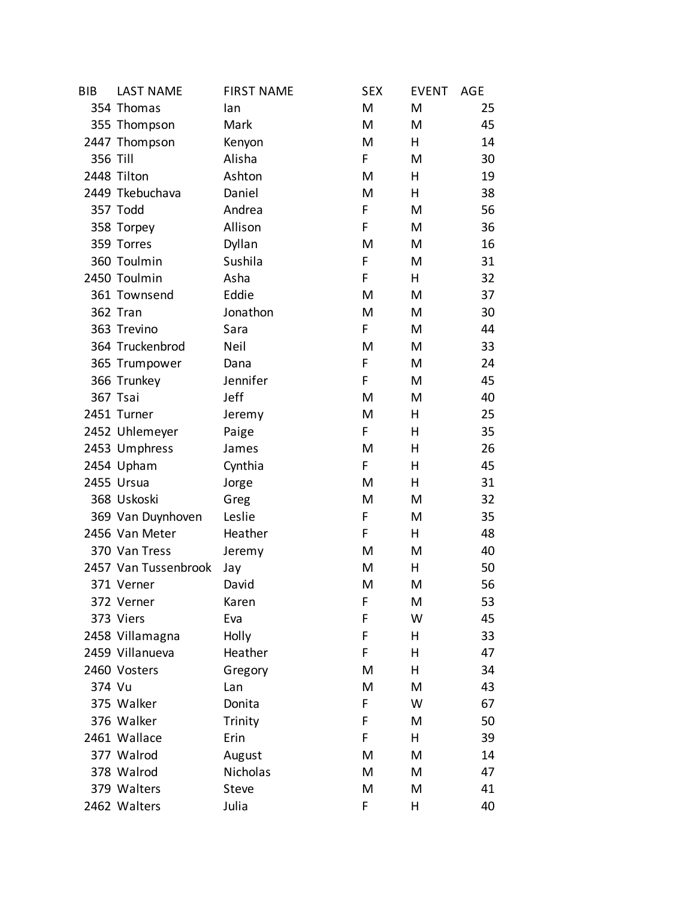| <b>BIB</b> | <b>LAST NAME</b>     | <b>FIRST NAME</b> | <b>SEX</b> | <b>EVENT</b> | AGE |
|------------|----------------------|-------------------|------------|--------------|-----|
|            | 354 Thomas           | lan               | M          | M            | 25  |
|            | 355 Thompson         | Mark              | M          | M            | 45  |
|            | 2447 Thompson        | Kenyon            | M          | н            | 14  |
| 356 Till   |                      | Alisha            | F          | M            | 30  |
|            | 2448 Tilton          | Ashton            | M          | н            | 19  |
|            | 2449 Tkebuchava      | Daniel            | M          | н            | 38  |
|            | 357 Todd             | Andrea            | F          | M            | 56  |
|            | 358 Torpey           | Allison           | F          | M            | 36  |
|            | 359 Torres           | Dyllan            | M          | M            | 16  |
|            | 360 Toulmin          | Sushila           | F          | M            | 31  |
|            | 2450 Toulmin         | Asha              | F          | н            | 32  |
|            | 361 Townsend         | Eddie             | M          | M            | 37  |
|            | 362 Tran             | Jonathon          | M          | M            | 30  |
|            | 363 Trevino          | Sara              | F          | M            | 44  |
|            | 364 Truckenbrod      | Neil              | M          | M            | 33  |
|            | 365 Trumpower        | Dana              | F          | М            | 24  |
|            | 366 Trunkey          | Jennifer          | F          | M            | 45  |
|            | 367 Tsai             | Jeff              | M          | M            | 40  |
|            | 2451 Turner          | Jeremy            | M          | н            | 25  |
|            | 2452 Uhlemeyer       | Paige             | F          | н            | 35  |
|            | 2453 Umphress        | James             | M          | Η            | 26  |
|            | 2454 Upham           | Cynthia           | F          | Η            | 45  |
|            | 2455 Ursua           | Jorge             | M          | н            | 31  |
|            | 368 Uskoski          | Greg              | M          | M            | 32  |
|            | 369 Van Duynhoven    | Leslie            | F          | M            | 35  |
|            | 2456 Van Meter       | Heather           | F          | н            | 48  |
|            | 370 Van Tress        | Jeremy            | M          | M            | 40  |
|            | 2457 Van Tussenbrook | Jay               | M          | H            | 50  |
|            | 371 Verner           | David             | M          | M            | 56  |
|            | 372 Verner           | Karen             | F          | Μ            | 53  |
|            | 373 Viers            | Eva               | F          | W            | 45  |
|            | 2458 Villamagna      | Holly             | F          | Η            | 33  |
|            | 2459 Villanueva      | Heather           | F          | Η            | 47  |
|            | 2460 Vosters         | Gregory           | M          | н            | 34  |
| 374 Vu     |                      | Lan               | M          | M            | 43  |
|            | 375 Walker           | Donita            | F          | W            | 67  |
|            | 376 Walker           | Trinity           | F          | M            | 50  |
|            | 2461 Wallace         | Erin              | F          | н            | 39  |
|            | 377 Walrod           | August            | M          | M            | 14  |
|            | 378 Walrod           | Nicholas          | M          | M            | 47  |
|            | 379 Walters          | <b>Steve</b>      | M          | M            | 41  |
|            | 2462 Walters         | Julia             | F          | Η            | 40  |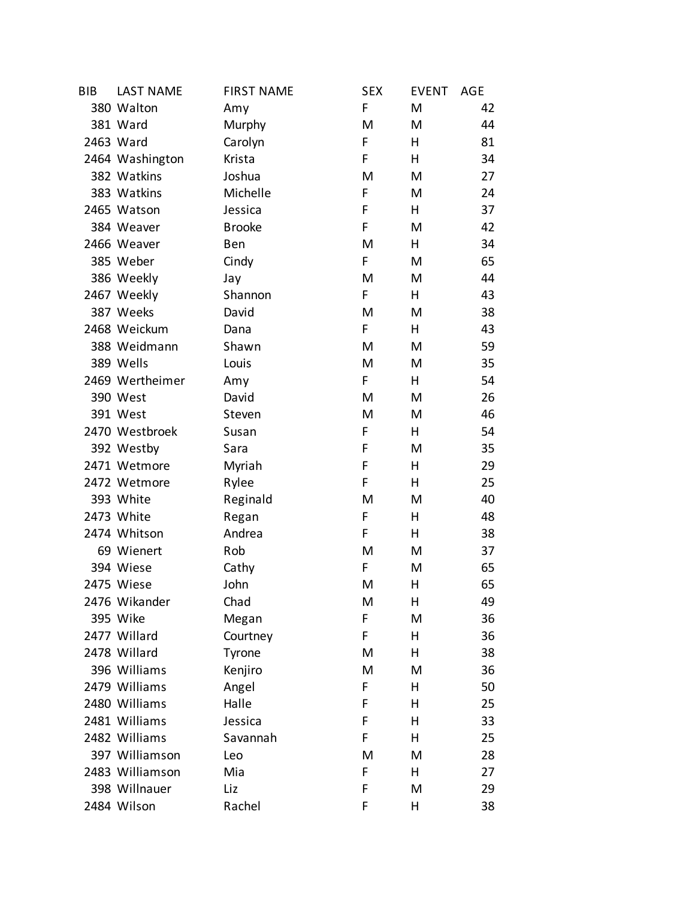| <b>BIB</b> | <b>LAST NAME</b> | <b>FIRST NAME</b> | <b>SEX</b> | <b>EVENT</b> | AGE |
|------------|------------------|-------------------|------------|--------------|-----|
|            | 380 Walton       | Amy               | F          | M            | 42  |
|            | 381 Ward         | Murphy            | M          | M            | 44  |
|            | 2463 Ward        | Carolyn           | F          | н            | 81  |
|            | 2464 Washington  | Krista            | F          | н            | 34  |
|            | 382 Watkins      | Joshua            | M          | M            | 27  |
|            | 383 Watkins      | Michelle          | F          | M            | 24  |
|            | 2465 Watson      | Jessica           | F          | н            | 37  |
|            | 384 Weaver       | <b>Brooke</b>     | F          | M            | 42  |
|            | 2466 Weaver      | Ben               | M          | н            | 34  |
|            | 385 Weber        | Cindy             | F          | M            | 65  |
|            | 386 Weekly       | Jay               | M          | M            | 44  |
|            | 2467 Weekly      | Shannon           | F          | н            | 43  |
|            | 387 Weeks        | David             | M          | M            | 38  |
|            | 2468 Weickum     | Dana              | F          | н            | 43  |
|            | 388 Weidmann     | Shawn             | M          | M            | 59  |
|            | 389 Wells        | Louis             | M          | M            | 35  |
|            | 2469 Wertheimer  | Amy               | F          | н            | 54  |
|            | 390 West         | David             | M          | M            | 26  |
|            | 391 West         | Steven            | M          | M            | 46  |
|            | 2470 Westbroek   | Susan             | F          | H            | 54  |
|            | 392 Westby       | Sara              | F          | M            | 35  |
|            | 2471 Wetmore     | Myriah            | F          | н            | 29  |
|            | 2472 Wetmore     | Rylee             | F          | н            | 25  |
|            | 393 White        | Reginald          | M          | M            | 40  |
|            | 2473 White       | Regan             | F          | н            | 48  |
|            | 2474 Whitson     | Andrea            | F          | н            | 38  |
|            | 69 Wienert       | Rob               | M          | M            | 37  |
|            | 394 Wiese        | Cathy             | F          | M            | 65  |
|            | 2475 Wiese       | John              | M          | Η            | 65  |
|            | 2476 Wikander    | Chad              | M          | Η            | 49  |
|            | 395 Wike         | Megan             | F          | M            | 36  |
|            | 2477 Willard     | Courtney          | F          | Η            | 36  |
|            | 2478 Willard     | Tyrone            | M          | Η            | 38  |
|            | 396 Williams     | Kenjiro           | M          | M            | 36  |
|            | 2479 Williams    | Angel             | F          | Η            | 50  |
|            | 2480 Williams    | Halle             | F          | н            | 25  |
|            | 2481 Williams    | Jessica           | F          | Η            | 33  |
|            | 2482 Williams    | Savannah          | F          | н            | 25  |
|            | 397 Williamson   | Leo               | M          | M            | 28  |
|            | 2483 Williamson  | Mia               | F          | н            | 27  |
|            | 398 Willnauer    | Liz               | F          | M            | 29  |
|            | 2484 Wilson      | Rachel            | F          | Η            | 38  |